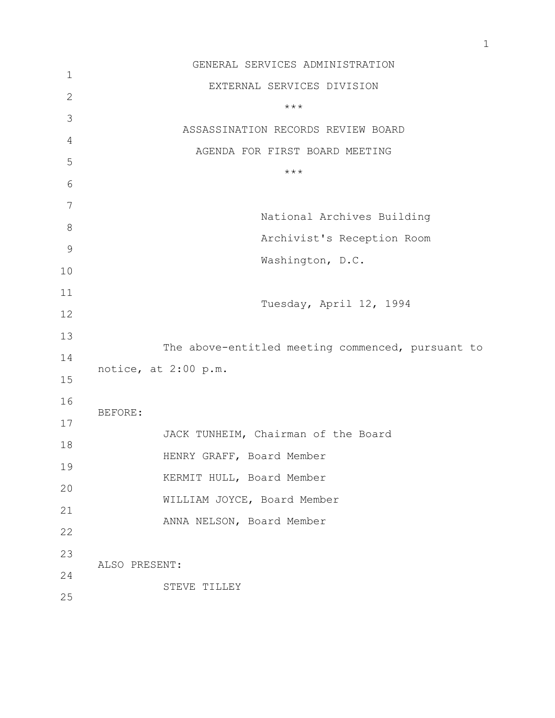|                | GENERAL SERVICES ADMINISTRATION                   |
|----------------|---------------------------------------------------|
| $\mathbf 1$    | EXTERNAL SERVICES DIVISION                        |
| $\mathbf{2}$   | $***$                                             |
| 3              |                                                   |
| $\overline{4}$ | ASSASSINATION RECORDS REVIEW BOARD                |
| 5              | AGENDA FOR FIRST BOARD MEETING                    |
| 6              | $***$                                             |
| $\overline{7}$ |                                                   |
| 8              | National Archives Building                        |
|                | Archivist's Reception Room                        |
| $\mathcal{G}$  | Washington, D.C.                                  |
| 10             |                                                   |
| 11             | Tuesday, April 12, 1994                           |
| 12             |                                                   |
| 13             |                                                   |
| 14             | The above-entitled meeting commenced, pursuant to |
| 15             | notice, at 2:00 p.m.                              |
| 16             |                                                   |
| 17             | BEFORE:                                           |
| 18             | JACK TUNHEIM, Chairman of the Board               |
| 19             | HENRY GRAFF, Board Member                         |
|                | KERMIT HULL, Board Member                         |
| 20             | WILLIAM JOYCE, Board Member                       |
| 21             | ANNA NELSON, Board Member                         |
| 22             |                                                   |
| 23             | ALSO PRESENT:                                     |
| 24             |                                                   |
| 25             | STEVE TILLEY                                      |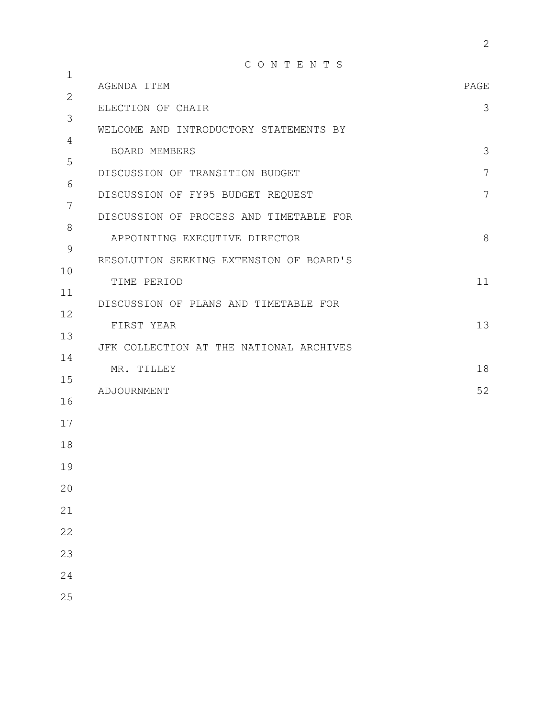| $\mathbf 1$ | CONTENTS                                |       |
|-------------|-----------------------------------------|-------|
| 2           | AGENDA ITEM                             | PAGE  |
| 3           | ELECTION OF CHAIR                       | 3     |
| 4           | WELCOME AND INTRODUCTORY STATEMENTS BY  |       |
| 5           | <b>BOARD MEMBERS</b>                    | 3     |
| 6           | DISCUSSION OF TRANSITION BUDGET         | 7     |
| 7           | DISCUSSION OF FY95 BUDGET REQUEST       | 7     |
| 8           | DISCUSSION OF PROCESS AND TIMETABLE FOR |       |
| $\mathsf 9$ | APPOINTING EXECUTIVE DIRECTOR           | $8\,$ |
| 10          | RESOLUTION SEEKING EXTENSION OF BOARD'S |       |
| 11          | TIME PERIOD                             | 11    |
| 12          | DISCUSSION OF PLANS AND TIMETABLE FOR   |       |
| 13          | FIRST YEAR                              | 13    |
| 14          | JFK COLLECTION AT THE NATIONAL ARCHIVES |       |
| 15          | MR. TILLEY                              | 18    |
| 16          | ADJOURNMENT                             | 52    |
| 17          |                                         |       |
| 18          |                                         |       |
| 19          |                                         |       |
| 20          |                                         |       |
| 21          |                                         |       |
| 22          |                                         |       |
| 23          |                                         |       |
| 24          |                                         |       |
| 25          |                                         |       |
|             |                                         |       |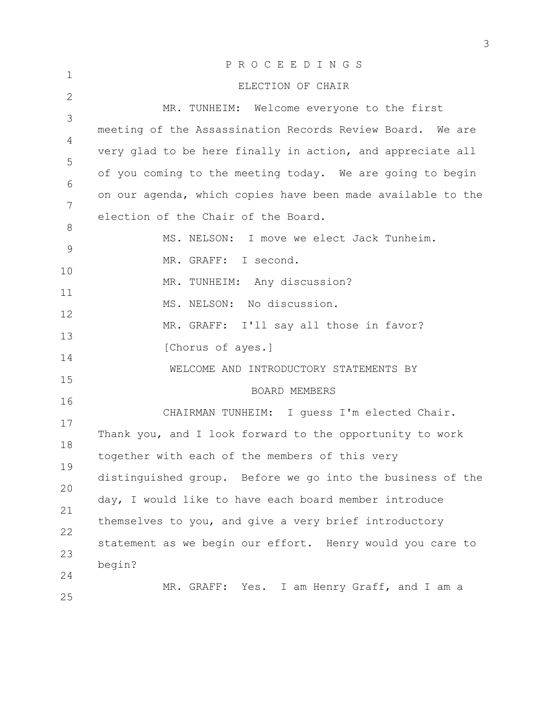|               | PROCEEDINGS                                                 |
|---------------|-------------------------------------------------------------|
| $\mathbf 1$   | ELECTION OF CHAIR                                           |
| $\mathbf{2}$  | MR. TUNHEIM: Welcome everyone to the first                  |
| 3             | meeting of the Assassination Records Review Board. We are   |
| 4             |                                                             |
| 5             | very glad to be here finally in action, and appreciate all  |
| 6             | of you coming to the meeting today. We are going to begin   |
| 7             | on our agenda, which copies have been made available to the |
| 8             | election of the Chair of the Board.                         |
| $\mathcal{G}$ | MS. NELSON: I move we elect Jack Tunheim.                   |
|               | MR. GRAFF: I second.                                        |
| 10            | MR. TUNHEIM: Any discussion?                                |
| 11            | MS. NELSON: No discussion.                                  |
| 12            | MR. GRAFF: I'll say all those in favor?                     |
| 13            | [Chorus of ayes.]                                           |
| 14            | WELCOME AND INTRODUCTORY STATEMENTS BY                      |
| 15            |                                                             |
| 16            | <b>BOARD MEMBERS</b>                                        |
| 17            | CHAIRMAN TUNHEIM: I quess I'm elected Chair.                |
| 18            | Thank you, and I look forward to the opportunity to work    |
| 19            | together with each of the members of this very              |
| 20            | distinguished group. Before we go into the business of the  |
|               | day, I would like to have each board member introduce       |
| 21            | themselves to you, and give a very brief introductory       |
| 22            | statement as we begin our effort. Henry would you care to   |
| 23            | begin?                                                      |
| 24            | MR. GRAFF: Yes. I am Henry Graff, and I am a                |
| 25            |                                                             |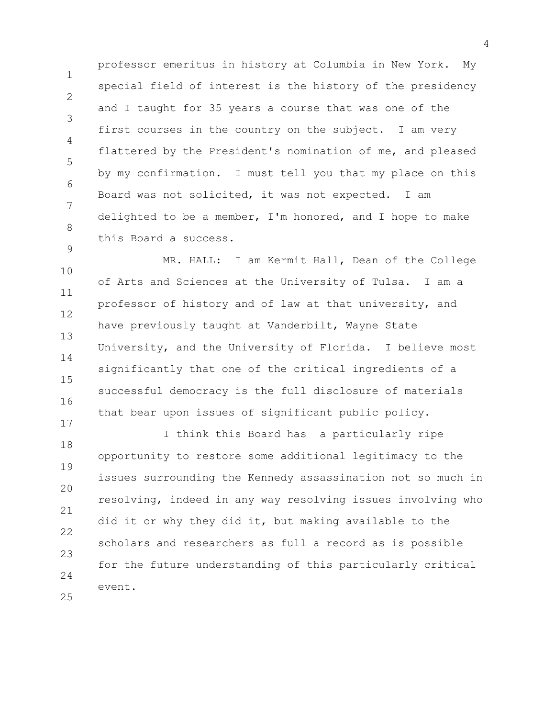1 2 3 4 5 6 7 8 9 professor emeritus in history at Columbia in New York. My special field of interest is the history of the presidency and I taught for 35 years a course that was one of the first courses in the country on the subject. I am very flattered by the President's nomination of me, and pleased by my confirmation. I must tell you that my place on this Board was not solicited, it was not expected. I am delighted to be a member, I'm honored, and I hope to make this Board a success.

10 11 12 13 14 15 16 MR. HALL: I am Kermit Hall, Dean of the College of Arts and Sciences at the University of Tulsa. I am a professor of history and of law at that university, and have previously taught at Vanderbilt, Wayne State University, and the University of Florida. I believe most significantly that one of the critical ingredients of a successful democracy is the full disclosure of materials that bear upon issues of significant public policy.

17

18 19 20 21 22 23  $24$ 25 I think this Board has a particularly ripe opportunity to restore some additional legitimacy to the issues surrounding the Kennedy assassination not so much in resolving, indeed in any way resolving issues involving who did it or why they did it, but making available to the scholars and researchers as full a record as is possible for the future understanding of this particularly critical event.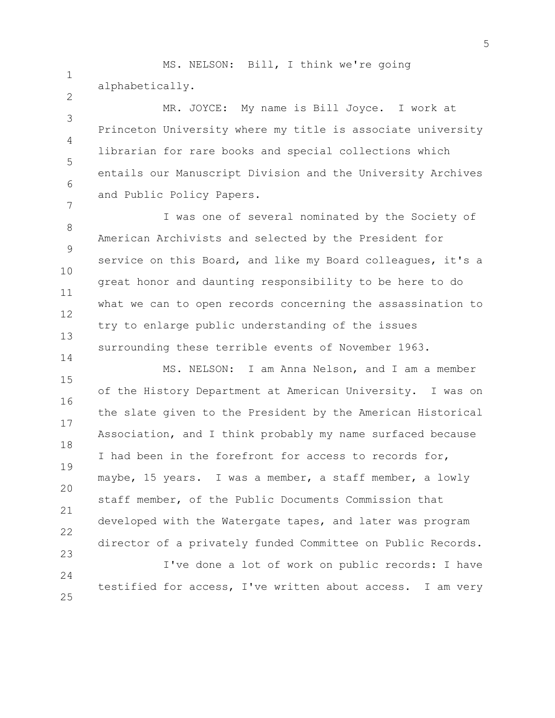1 2 MS. NELSON: Bill, I think we're going alphabetically.

3 4 5 6 7 MR. JOYCE: My name is Bill Joyce. I work at Princeton University where my title is associate university librarian for rare books and special collections which entails our Manuscript Division and the University Archives and Public Policy Papers.

8 9 10 11 12 13 14 I was one of several nominated by the Society of American Archivists and selected by the President for service on this Board, and like my Board colleagues, it's a great honor and daunting responsibility to be here to do what we can to open records concerning the assassination to try to enlarge public understanding of the issues surrounding these terrible events of November 1963.

15 16 17 18 19 20 21 22 23 MS. NELSON: I am Anna Nelson, and I am a member of the History Department at American University. I was on the slate given to the President by the American Historical Association, and I think probably my name surfaced because I had been in the forefront for access to records for, maybe, 15 years. I was a member, a staff member, a lowly staff member, of the Public Documents Commission that developed with the Watergate tapes, and later was program director of a privately funded Committee on Public Records.

24 25 I've done a lot of work on public records: I have testified for access, I've written about access. I am very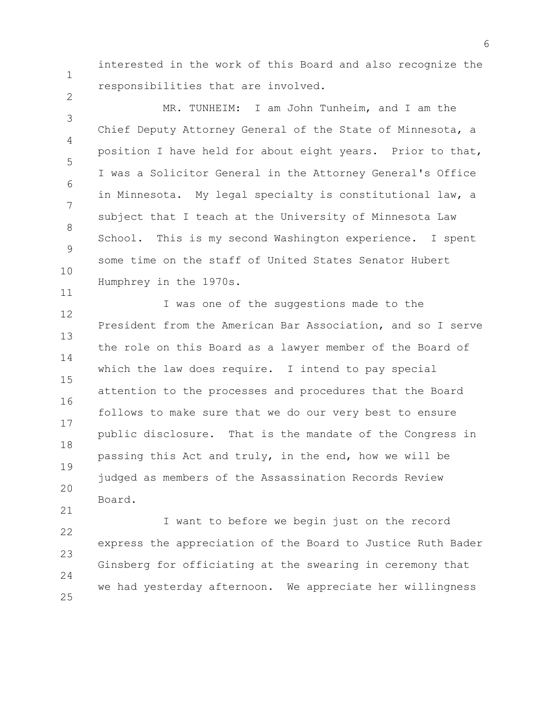interested in the work of this Board and also recognize the responsibilities that are involved.

1

2

11

3 4 5 6 7 8 9 10 MR. TUNHEIM: I am John Tunheim, and I am the Chief Deputy Attorney General of the State of Minnesota, a position I have held for about eight years. Prior to that, I was a Solicitor General in the Attorney General's Office in Minnesota. My legal specialty is constitutional law, a subject that I teach at the University of Minnesota Law School. This is my second Washington experience. I spent some time on the staff of United States Senator Hubert Humphrey in the 1970s.

12 13 14 15 16 17 18 19 20 21 I was one of the suggestions made to the President from the American Bar Association, and so I serve the role on this Board as a lawyer member of the Board of which the law does require. I intend to pay special attention to the processes and procedures that the Board follows to make sure that we do our very best to ensure public disclosure. That is the mandate of the Congress in passing this Act and truly, in the end, how we will be judged as members of the Assassination Records Review Board.

22 23 24 25 I want to before we begin just on the record express the appreciation of the Board to Justice Ruth Bader Ginsberg for officiating at the swearing in ceremony that we had yesterday afternoon. We appreciate her willingness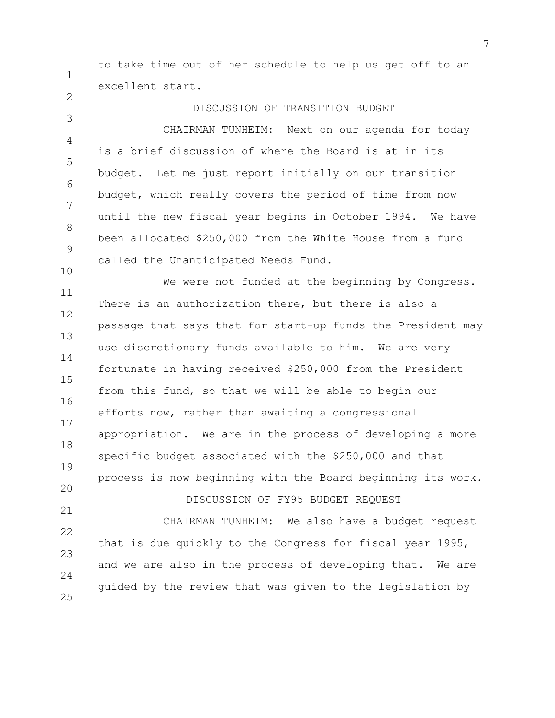to take time out of her schedule to help us get off to an excellent start.

1

2

3 4 5 6 7 8 9 10 DISCUSSION OF TRANSITION BUDGET CHAIRMAN TUNHEIM: Next on our agenda for today is a brief discussion of where the Board is at in its budget. Let me just report initially on our transition budget, which really covers the period of time from now until the new fiscal year begins in October 1994. We have been allocated \$250,000 from the White House from a fund called the Unanticipated Needs Fund.

11 12 13 14 15 16 17 18 19 20 21 22 23 24 25 We were not funded at the beginning by Congress. There is an authorization there, but there is also a passage that says that for start-up funds the President may use discretionary funds available to him. We are very fortunate in having received \$250,000 from the President from this fund, so that we will be able to begin our efforts now, rather than awaiting a congressional appropriation. We are in the process of developing a more specific budget associated with the \$250,000 and that process is now beginning with the Board beginning its work. DISCUSSION OF FY95 BUDGET REQUEST CHAIRMAN TUNHEIM: We also have a budget request that is due quickly to the Congress for fiscal year 1995, and we are also in the process of developing that. We are guided by the review that was given to the legislation by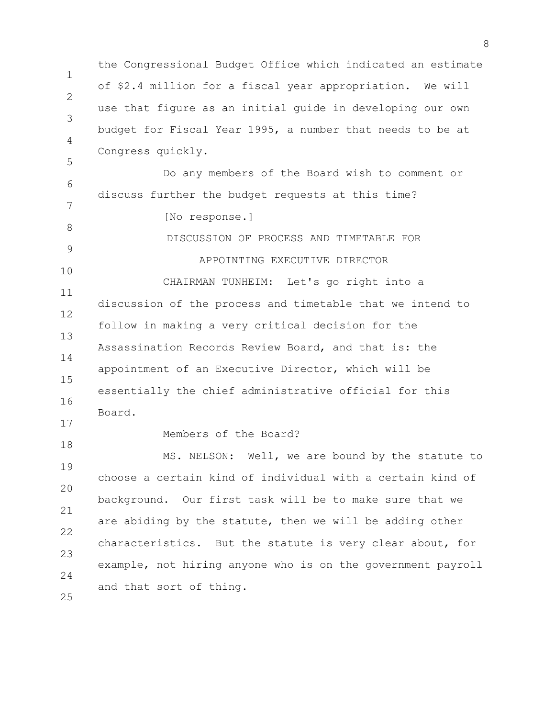1  $\mathcal{P}$ 3 4 5 6 7 8 9 10 11 12 13 14 15 16 17 18 19 20 21 22 23 24 25 the Congressional Budget Office which indicated an estimate of \$2.4 million for a fiscal year appropriation. We will use that figure as an initial guide in developing our own budget for Fiscal Year 1995, a number that needs to be at Congress quickly. Do any members of the Board wish to comment or discuss further the budget requests at this time? [No response.] DISCUSSION OF PROCESS AND TIMETABLE FOR APPOINTING EXECUTIVE DIRECTOR CHAIRMAN TUNHEIM: Let's go right into a discussion of the process and timetable that we intend to follow in making a very critical decision for the Assassination Records Review Board, and that is: the appointment of an Executive Director, which will be essentially the chief administrative official for this Board. Members of the Board? MS. NELSON: Well, we are bound by the statute to choose a certain kind of individual with a certain kind of background. Our first task will be to make sure that we are abiding by the statute, then we will be adding other characteristics. But the statute is very clear about, for example, not hiring anyone who is on the government payroll and that sort of thing.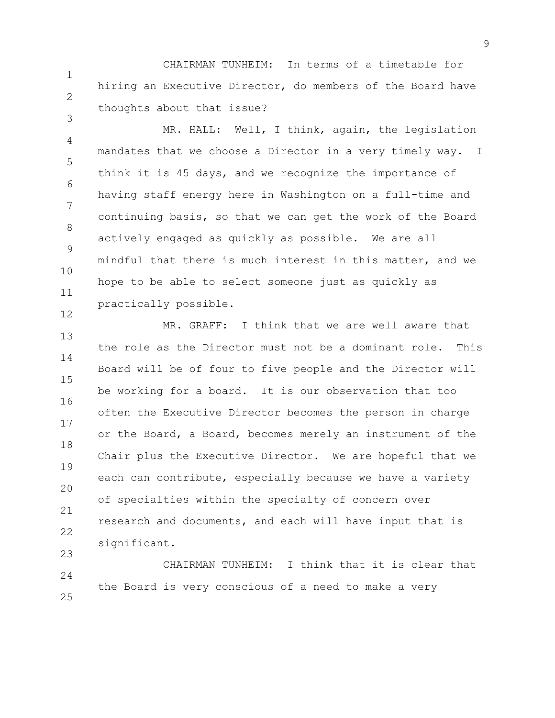1 2 CHAIRMAN TUNHEIM: In terms of a timetable for hiring an Executive Director, do members of the Board have thoughts about that issue?

3

12

4 5 6 7 8 9 10 11 MR. HALL: Well, I think, again, the legislation mandates that we choose a Director in a very timely way. I think it is 45 days, and we recognize the importance of having staff energy here in Washington on a full-time and continuing basis, so that we can get the work of the Board actively engaged as quickly as possible. We are all mindful that there is much interest in this matter, and we hope to be able to select someone just as quickly as practically possible.

13 14 15 16 17 18 19 20 21 22 23 MR. GRAFF: I think that we are well aware that the role as the Director must not be a dominant role. This Board will be of four to five people and the Director will be working for a board. It is our observation that too often the Executive Director becomes the person in charge or the Board, a Board, becomes merely an instrument of the Chair plus the Executive Director. We are hopeful that we each can contribute, especially because we have a variety of specialties within the specialty of concern over research and documents, and each will have input that is significant.

24 25 CHAIRMAN TUNHEIM: I think that it is clear that the Board is very conscious of a need to make a very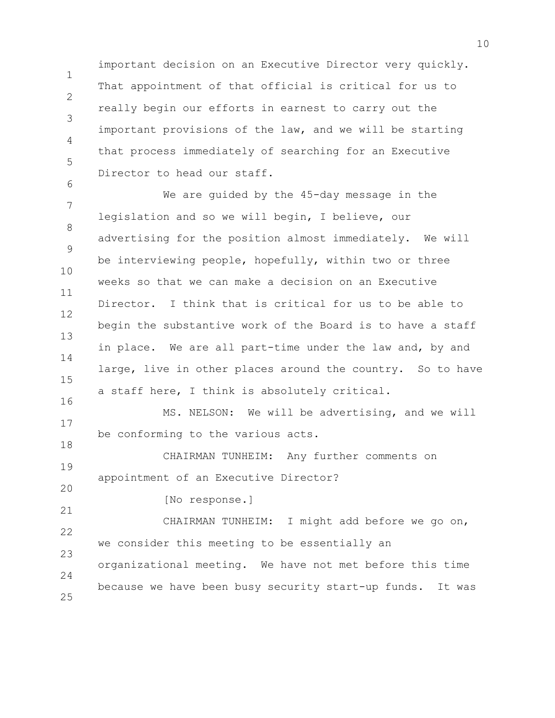important decision on an Executive Director very quickly. That appointment of that official is critical for us to really begin our efforts in earnest to carry out the important provisions of the law, and we will be starting that process immediately of searching for an Executive Director to head our staff.

1

 $\mathfrak{D}$ 

3

4

5

6

18

20

21

7 8 9 10 11 12 13 14 15 16 We are quided by the 45-day message in the legislation and so we will begin, I believe, our advertising for the position almost immediately. We will be interviewing people, hopefully, within two or three weeks so that we can make a decision on an Executive Director. I think that is critical for us to be able to begin the substantive work of the Board is to have a staff in place. We are all part-time under the law and, by and large, live in other places around the country. So to have a staff here, I think is absolutely critical.

17 MS. NELSON: We will be advertising, and we will be conforming to the various acts.

19 CHAIRMAN TUNHEIM: Any further comments on appointment of an Executive Director?

[No response.]

22 23  $24$ 25 CHAIRMAN TUNHEIM: I might add before we go on, we consider this meeting to be essentially an organizational meeting. We have not met before this time because we have been busy security start-up funds. It was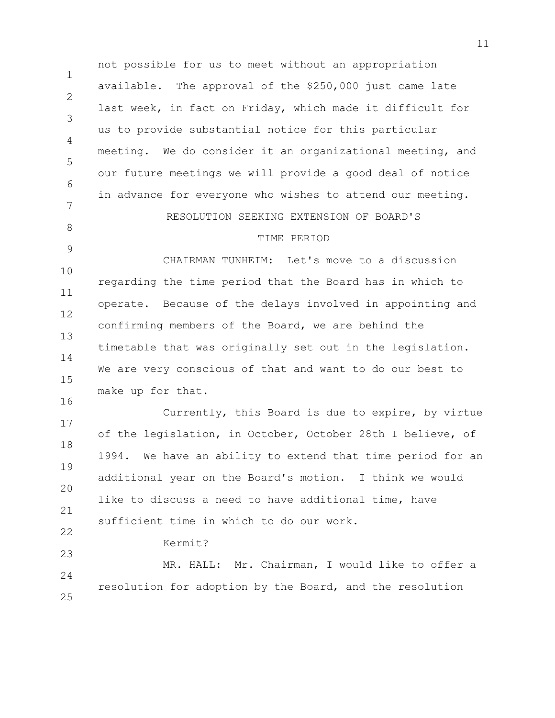1  $\mathcal{P}$ 3 4 5 6 7 8 9 10 11 12 13 14 15 16 17 18 19 20 21 22 23  $24$ 25 not possible for us to meet without an appropriation available. The approval of the \$250,000 just came late last week, in fact on Friday, which made it difficult for us to provide substantial notice for this particular meeting. We do consider it an organizational meeting, and our future meetings we will provide a good deal of notice in advance for everyone who wishes to attend our meeting. RESOLUTION SEEKING EXTENSION OF BOARD'S TIME PERIOD CHAIRMAN TUNHEIM: Let's move to a discussion regarding the time period that the Board has in which to operate. Because of the delays involved in appointing and confirming members of the Board, we are behind the timetable that was originally set out in the legislation. We are very conscious of that and want to do our best to make up for that. Currently, this Board is due to expire, by virtue of the legislation, in October, October 28th I believe, of 1994. We have an ability to extend that time period for an additional year on the Board's motion. I think we would like to discuss a need to have additional time, have sufficient time in which to do our work. Kermit? MR. HALL: Mr. Chairman, I would like to offer a resolution for adoption by the Board, and the resolution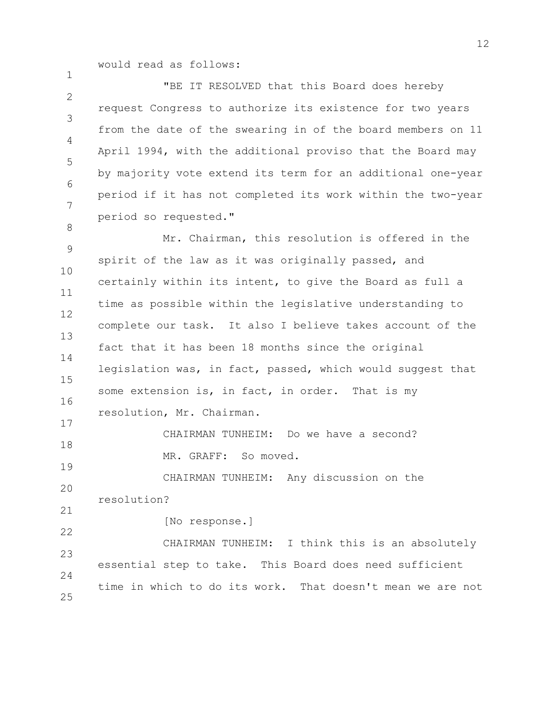would read as follows:

1

8

 $\mathfrak{D}$ 3 4 5 6 7 "BE IT RESOLVED that this Board does hereby request Congress to authorize its existence for two years from the date of the swearing in of the board members on 11 April 1994, with the additional proviso that the Board may by majority vote extend its term for an additional one-year period if it has not completed its work within the two-year period so requested."

9 10 11 12 13 14 15 16 17 Mr. Chairman, this resolution is offered in the spirit of the law as it was originally passed, and certainly within its intent, to give the Board as full a time as possible within the legislative understanding to complete our task. It also I believe takes account of the fact that it has been 18 months since the original legislation was, in fact, passed, which would suggest that some extension is, in fact, in order. That is my resolution, Mr. Chairman.

18 19 CHAIRMAN TUNHEIM: Do we have a second? MR. GRAFF: So moved.

20 21 CHAIRMAN TUNHEIM: Any discussion on the resolution?

22

[No response.]

23  $24$ 25 CHAIRMAN TUNHEIM: I think this is an absolutely essential step to take. This Board does need sufficient time in which to do its work. That doesn't mean we are not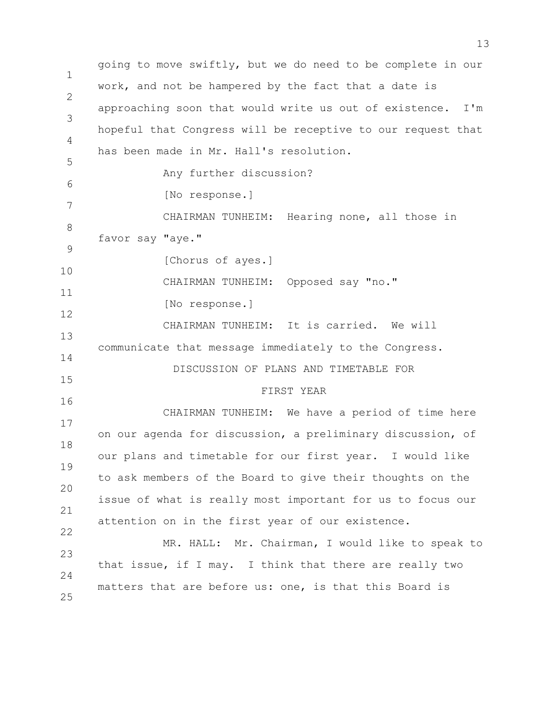1  $\mathcal{P}$ 3 4 5 6 7 8 9 10 11 12 13 14 15 16 17 18 19 20 21 22 23 24 25 going to move swiftly, but we do need to be complete in our work, and not be hampered by the fact that a date is approaching soon that would write us out of existence. I'm hopeful that Congress will be receptive to our request that has been made in Mr. Hall's resolution. Any further discussion? [No response.] CHAIRMAN TUNHEIM: Hearing none, all those in favor say "aye." [Chorus of ayes.] CHAIRMAN TUNHEIM: Opposed say "no." [No response.] CHAIRMAN TUNHEIM: It is carried. We will communicate that message immediately to the Congress. DISCUSSION OF PLANS AND TIMETABLE FOR FIRST YEAR CHAIRMAN TUNHEIM: We have a period of time here on our agenda for discussion, a preliminary discussion, of our plans and timetable for our first year. I would like to ask members of the Board to give their thoughts on the issue of what is really most important for us to focus our attention on in the first year of our existence. MR. HALL: Mr. Chairman, I would like to speak to that issue, if I may. I think that there are really two matters that are before us: one, is that this Board is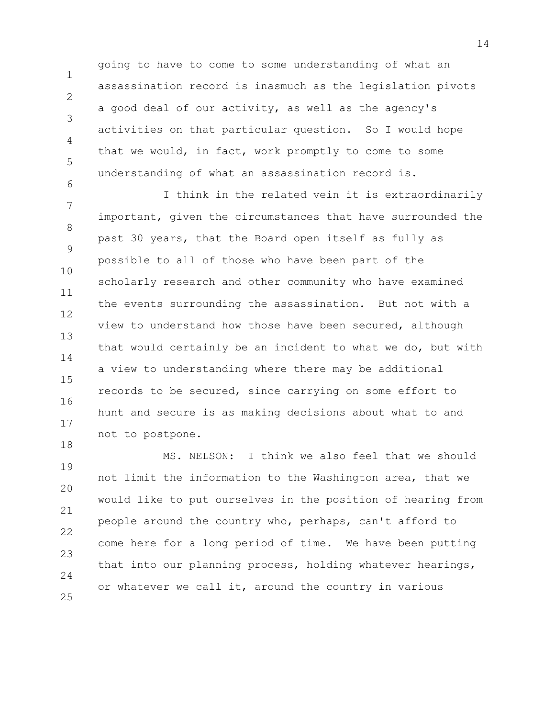going to have to come to some understanding of what an assassination record is inasmuch as the legislation pivots a good deal of our activity, as well as the agency's activities on that particular question. So I would hope that we would, in fact, work promptly to come to some understanding of what an assassination record is.

1

 $\mathcal{P}$ 

3

4

5

6

7 8 9 10 11 12 13 14 15 16 17 18 I think in the related vein it is extraordinarily important, given the circumstances that have surrounded the past 30 years, that the Board open itself as fully as possible to all of those who have been part of the scholarly research and other community who have examined the events surrounding the assassination. But not with a view to understand how those have been secured, although that would certainly be an incident to what we do, but with a view to understanding where there may be additional records to be secured, since carrying on some effort to hunt and secure is as making decisions about what to and not to postpone.

19 20 21 22 23  $24$ 25 MS. NELSON: I think we also feel that we should not limit the information to the Washington area, that we would like to put ourselves in the position of hearing from people around the country who, perhaps, can't afford to come here for a long period of time. We have been putting that into our planning process, holding whatever hearings, or whatever we call it, around the country in various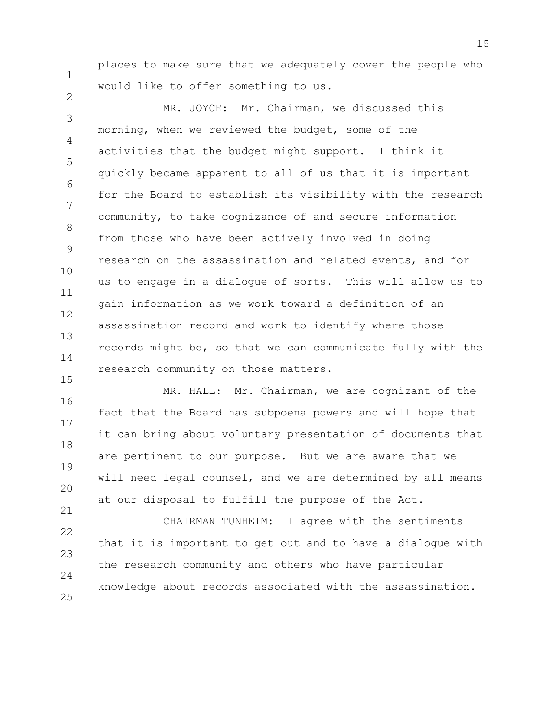places to make sure that we adequately cover the people who would like to offer something to us.

1

2

15

3 4 5 6 7 8 9 10 11 12 13 14 MR. JOYCE: Mr. Chairman, we discussed this morning, when we reviewed the budget, some of the activities that the budget might support. I think it quickly became apparent to all of us that it is important for the Board to establish its visibility with the research community, to take cognizance of and secure information from those who have been actively involved in doing research on the assassination and related events, and for us to engage in a dialogue of sorts. This will allow us to gain information as we work toward a definition of an assassination record and work to identify where those records might be, so that we can communicate fully with the research community on those matters.

16 17 18 19 20 21 MR. HALL: Mr. Chairman, we are cognizant of the fact that the Board has subpoena powers and will hope that it can bring about voluntary presentation of documents that are pertinent to our purpose. But we are aware that we will need legal counsel, and we are determined by all means at our disposal to fulfill the purpose of the Act.

22 23  $24$ 25 CHAIRMAN TUNHEIM: I agree with the sentiments that it is important to get out and to have a dialogue with the research community and others who have particular knowledge about records associated with the assassination.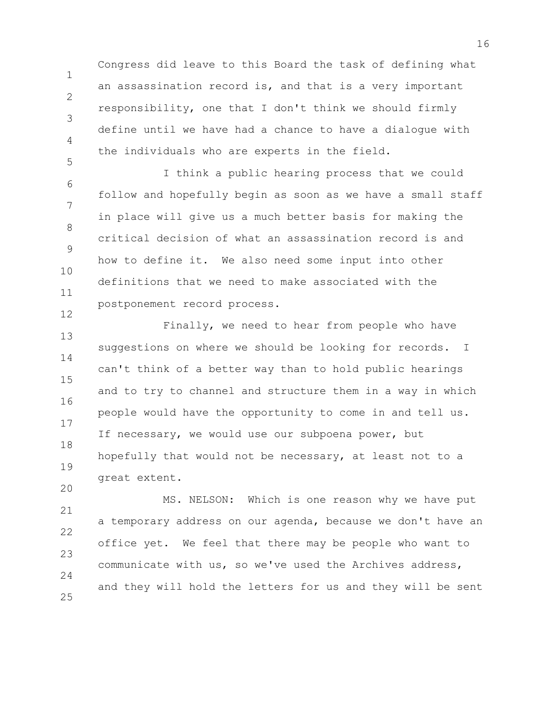Congress did leave to this Board the task of defining what an assassination record is, and that is a very important responsibility, one that I don't think we should firmly define until we have had a chance to have a dialogue with the individuals who are experts in the field.

1

2

3

4

5

20

6 7 8 9 10 11 12 I think a public hearing process that we could follow and hopefully begin as soon as we have a small staff in place will give us a much better basis for making the critical decision of what an assassination record is and how to define it. We also need some input into other definitions that we need to make associated with the postponement record process.

13 14 15 16 17 18 19 Finally, we need to hear from people who have suggestions on where we should be looking for records. I can't think of a better way than to hold public hearings and to try to channel and structure them in a way in which people would have the opportunity to come in and tell us. If necessary, we would use our subpoena power, but hopefully that would not be necessary, at least not to a great extent.

21 22 23  $24$ 25 MS. NELSON: Which is one reason why we have put a temporary address on our agenda, because we don't have an office yet. We feel that there may be people who want to communicate with us, so we've used the Archives address, and they will hold the letters for us and they will be sent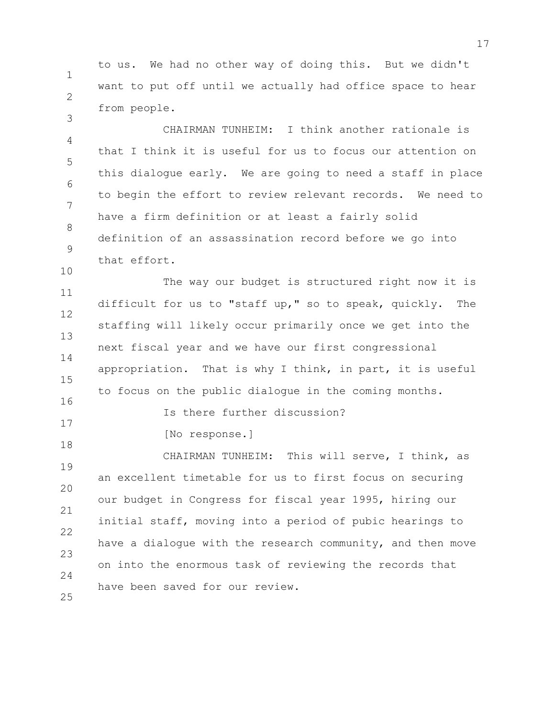1 2 to us. We had no other way of doing this. But we didn't want to put off until we actually had office space to hear from people.

4 5 6 7 8 9 CHAIRMAN TUNHEIM: I think another rationale is that I think it is useful for us to focus our attention on this dialogue early. We are going to need a staff in place to begin the effort to review relevant records. We need to have a firm definition or at least a fairly solid definition of an assassination record before we go into that effort.

11 12 13 14 15 16 The way our budget is structured right now it is difficult for us to "staff up," so to speak, quickly. The staffing will likely occur primarily once we get into the next fiscal year and we have our first congressional appropriation. That is why I think, in part, it is useful to focus on the public dialogue in the coming months.

Is there further discussion?

[No response.]

3

10

17

18

19 20 21 22 23  $24$ 25 CHAIRMAN TUNHEIM: This will serve, I think, as an excellent timetable for us to first focus on securing our budget in Congress for fiscal year 1995, hiring our initial staff, moving into a period of pubic hearings to have a dialogue with the research community, and then move on into the enormous task of reviewing the records that have been saved for our review.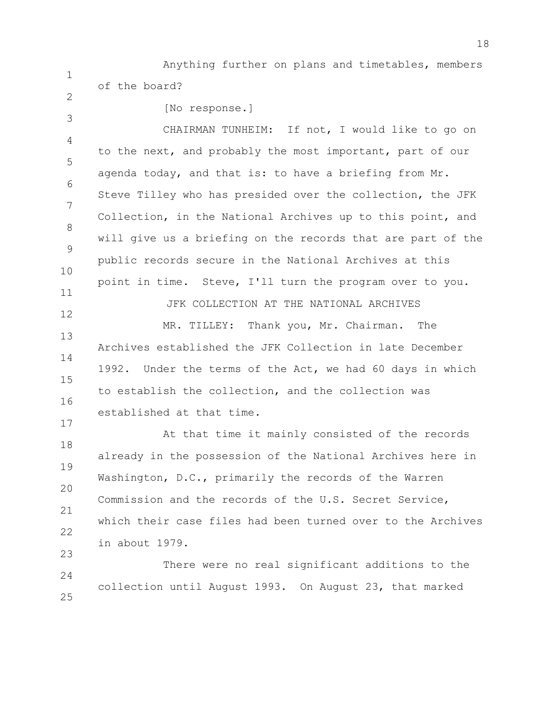1 Anything further on plans and timetables, members of the board?

 $\mathfrak{D}$ 

3

17

[No response.]

4 5 6 7 8 9 10 11 CHAIRMAN TUNHEIM: If not, I would like to go on to the next, and probably the most important, part of our agenda today, and that is: to have a briefing from Mr. Steve Tilley who has presided over the collection, the JFK Collection, in the National Archives up to this point, and will give us a briefing on the records that are part of the public records secure in the National Archives at this point in time. Steve, I'll turn the program over to you. JFK COLLECTION AT THE NATIONAL ARCHIVES

12 13 14 15 16 MR. TILLEY: Thank you, Mr. Chairman. The Archives established the JFK Collection in late December 1992. Under the terms of the Act, we had 60 days in which to establish the collection, and the collection was established at that time.

18 19 20 21 22 23 At that time it mainly consisted of the records already in the possession of the National Archives here in Washington, D.C., primarily the records of the Warren Commission and the records of the U.S. Secret Service, which their case files had been turned over to the Archives in about 1979.

 $24$ 25 There were no real significant additions to the collection until August 1993. On August 23, that marked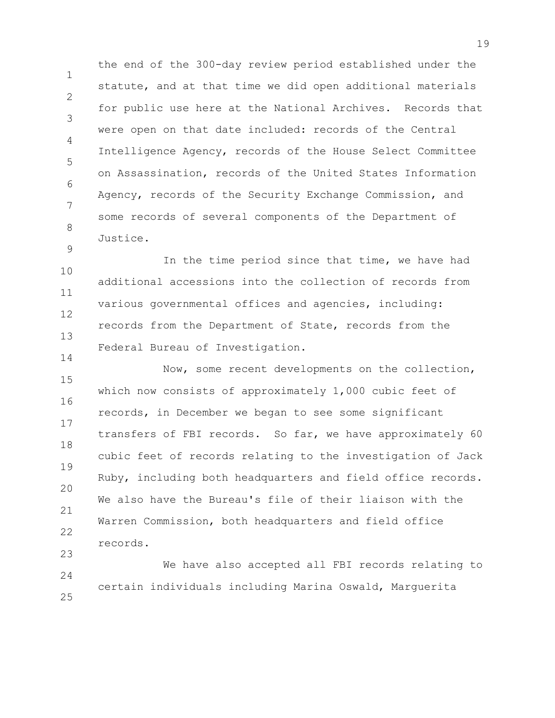1 2 3 4 5 6 7 8 the end of the 300-day review period established under the statute, and at that time we did open additional materials for public use here at the National Archives. Records that were open on that date included: records of the Central Intelligence Agency, records of the House Select Committee on Assassination, records of the United States Information Agency, records of the Security Exchange Commission, and some records of several components of the Department of Justice.

10 11 12 13 In the time period since that time, we have had additional accessions into the collection of records from various governmental offices and agencies, including: records from the Department of State, records from the Federal Bureau of Investigation.

9

14

15 16 17 18 19 20 21 22 23 Now, some recent developments on the collection, which now consists of approximately 1,000 cubic feet of records, in December we began to see some significant transfers of FBI records. So far, we have approximately 60 cubic feet of records relating to the investigation of Jack Ruby, including both headquarters and field office records. We also have the Bureau's file of their liaison with the Warren Commission, both headquarters and field office records.

24 25 We have also accepted all FBI records relating to certain individuals including Marina Oswald, Marguerita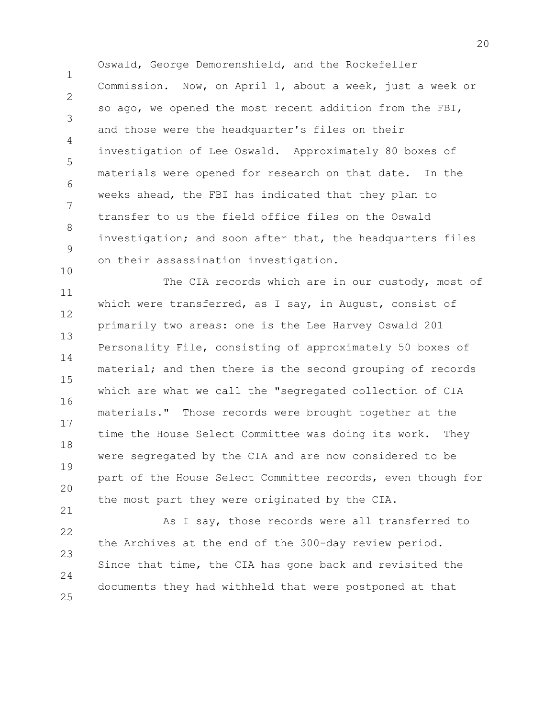1  $\mathcal{P}$ 3 4 5 6 7 8 9 Oswald, George Demorenshield, and the Rockefeller Commission. Now, on April 1, about a week, just a week or so ago, we opened the most recent addition from the FBI, and those were the headquarter's files on their investigation of Lee Oswald. Approximately 80 boxes of materials were opened for research on that date. In the weeks ahead, the FBI has indicated that they plan to transfer to us the field office files on the Oswald investigation; and soon after that, the headquarters files on their assassination investigation.

10

21

11 12 13 14 15 16 17 18 19 20 The CIA records which are in our custody, most of which were transferred, as I say, in August, consist of primarily two areas: one is the Lee Harvey Oswald 201 Personality File, consisting of approximately 50 boxes of material; and then there is the second grouping of records which are what we call the "segregated collection of CIA materials." Those records were brought together at the time the House Select Committee was doing its work. They were segregated by the CIA and are now considered to be part of the House Select Committee records, even though for the most part they were originated by the CIA.

22 23 24 25 As I say, those records were all transferred to the Archives at the end of the 300-day review period. Since that time, the CIA has gone back and revisited the documents they had withheld that were postponed at that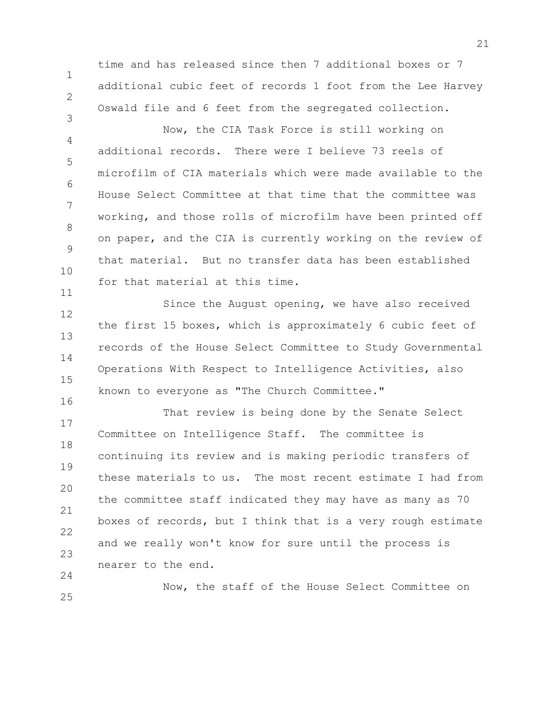time and has released since then 7 additional boxes or 7 additional cubic feet of records 1 foot from the Lee Harvey Oswald file and 6 feet from the segregated collection.

1

2

3

4 5 6 7 8 9 10 11 Now, the CIA Task Force is still working on additional records. There were I believe 73 reels of microfilm of CIA materials which were made available to the House Select Committee at that time that the committee was working, and those rolls of microfilm have been printed off on paper, and the CIA is currently working on the review of that material. But no transfer data has been established for that material at this time.

12 13 14 15 16 Since the August opening, we have also received the first 15 boxes, which is approximately 6 cubic feet of records of the House Select Committee to Study Governmental Operations With Respect to Intelligence Activities, also known to everyone as "The Church Committee."

17 18 19 20 21 22 23  $24$ That review is being done by the Senate Select Committee on Intelligence Staff. The committee is continuing its review and is making periodic transfers of these materials to us. The most recent estimate I had from the committee staff indicated they may have as many as 70 boxes of records, but I think that is a very rough estimate and we really won't know for sure until the process is nearer to the end.

25 Now, the staff of the House Select Committee on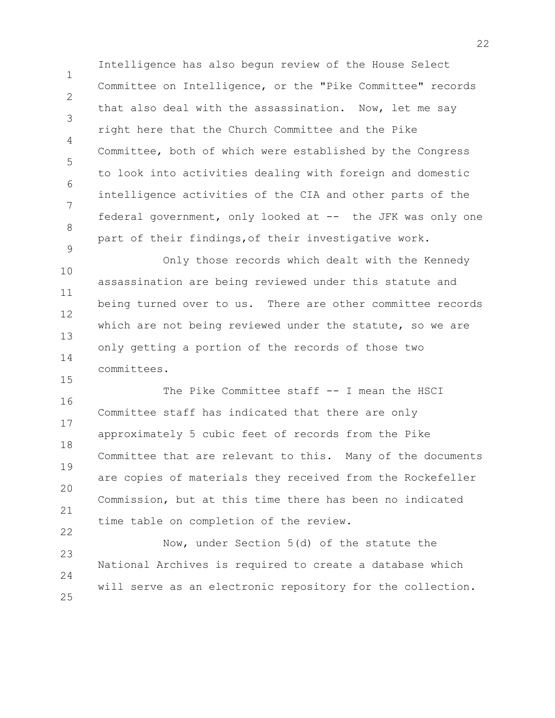1  $\mathcal{P}$ 3 4 5 6 7 8 9 Intelligence has also begun review of the House Select Committee on Intelligence, or the "Pike Committee" records that also deal with the assassination. Now, let me say right here that the Church Committee and the Pike Committee, both of which were established by the Congress to look into activities dealing with foreign and domestic intelligence activities of the CIA and other parts of the federal government, only looked at -- the JFK was only one part of their findings,of their investigative work.

10 11 12 13 14 Only those records which dealt with the Kennedy assassination are being reviewed under this statute and being turned over to us. There are other committee records which are not being reviewed under the statute, so we are only getting a portion of the records of those two committees.

15

16 17 18 19 20 21 22 The Pike Committee staff -- I mean the HSCI Committee staff has indicated that there are only approximately 5 cubic feet of records from the Pike Committee that are relevant to this. Many of the documents are copies of materials they received from the Rockefeller Commission, but at this time there has been no indicated time table on completion of the review.

23  $24$ 25 Now, under Section 5(d) of the statute the National Archives is required to create a database which will serve as an electronic repository for the collection.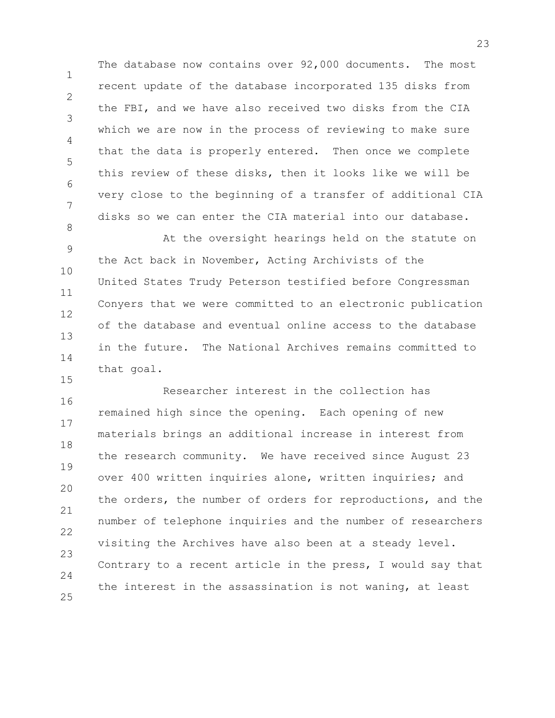1 2 3 4 5 6 7 8 The database now contains over 92,000 documents. The most recent update of the database incorporated 135 disks from the FBI, and we have also received two disks from the CIA which we are now in the process of reviewing to make sure that the data is properly entered. Then once we complete this review of these disks, then it looks like we will be very close to the beginning of a transfer of additional CIA disks so we can enter the CIA material into our database.

9 10 11 12 13 14 At the oversight hearings held on the statute on the Act back in November, Acting Archivists of the United States Trudy Peterson testified before Congressman Conyers that we were committed to an electronic publication of the database and eventual online access to the database in the future. The National Archives remains committed to that goal.

15

16 17 18 19 20 21 22 23  $24$ 25 Researcher interest in the collection has remained high since the opening. Each opening of new materials brings an additional increase in interest from the research community. We have received since August 23 over 400 written inquiries alone, written inquiries; and the orders, the number of orders for reproductions, and the number of telephone inquiries and the number of researchers visiting the Archives have also been at a steady level. Contrary to a recent article in the press, I would say that the interest in the assassination is not waning, at least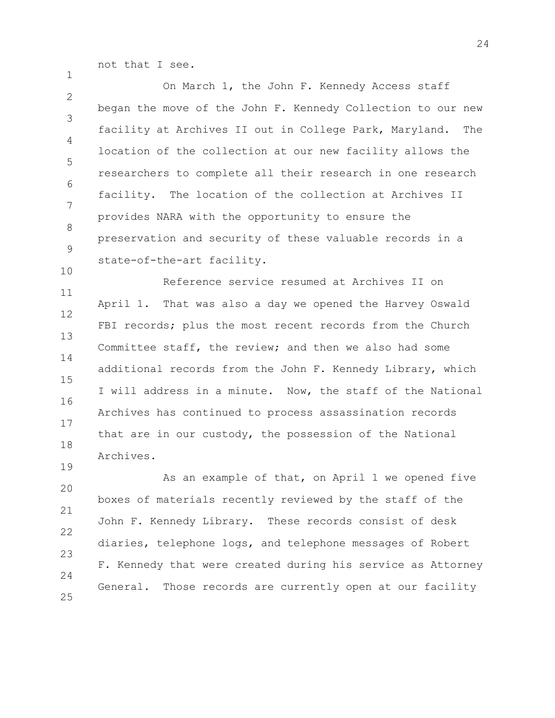not that I see.

1

19

 $\mathfrak{D}$ 3 4 5 6 7 8 9 10 On March 1, the John F. Kennedy Access staff began the move of the John F. Kennedy Collection to our new facility at Archives II out in College Park, Maryland. The location of the collection at our new facility allows the researchers to complete all their research in one research facility. The location of the collection at Archives II provides NARA with the opportunity to ensure the preservation and security of these valuable records in a state-of-the-art facility.

11 12 13 14 15 16 17 18 Reference service resumed at Archives II on April 1. That was also a day we opened the Harvey Oswald FBI records; plus the most recent records from the Church Committee staff, the review; and then we also had some additional records from the John F. Kennedy Library, which I will address in a minute. Now, the staff of the National Archives has continued to process assassination records that are in our custody, the possession of the National Archives.

20 21 22 23  $24$ 25 As an example of that, on April 1 we opened five boxes of materials recently reviewed by the staff of the John F. Kennedy Library. These records consist of desk diaries, telephone logs, and telephone messages of Robert F. Kennedy that were created during his service as Attorney General. Those records are currently open at our facility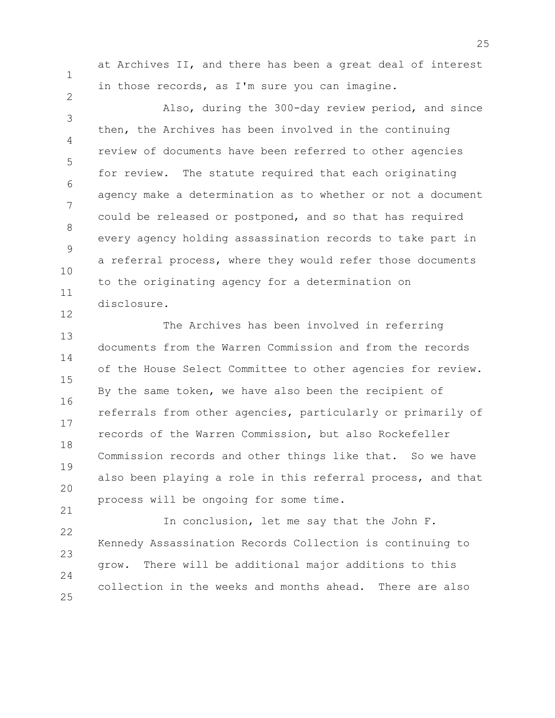1

2

12

at Archives II, and there has been a great deal of interest in those records, as I'm sure you can imagine.

3 4 5 6 7 8 9 10 11 Also, during the 300-day review period, and since then, the Archives has been involved in the continuing review of documents have been referred to other agencies for review. The statute required that each originating agency make a determination as to whether or not a document could be released or postponed, and so that has required every agency holding assassination records to take part in a referral process, where they would refer those documents to the originating agency for a determination on disclosure.

13 14 15 16 17 18 19 20 21 The Archives has been involved in referring documents from the Warren Commission and from the records of the House Select Committee to other agencies for review. By the same token, we have also been the recipient of referrals from other agencies, particularly or primarily of records of the Warren Commission, but also Rockefeller Commission records and other things like that. So we have also been playing a role in this referral process, and that process will be ongoing for some time.

22 23 24 25 In conclusion, let me say that the John F. Kennedy Assassination Records Collection is continuing to grow. There will be additional major additions to this collection in the weeks and months ahead. There are also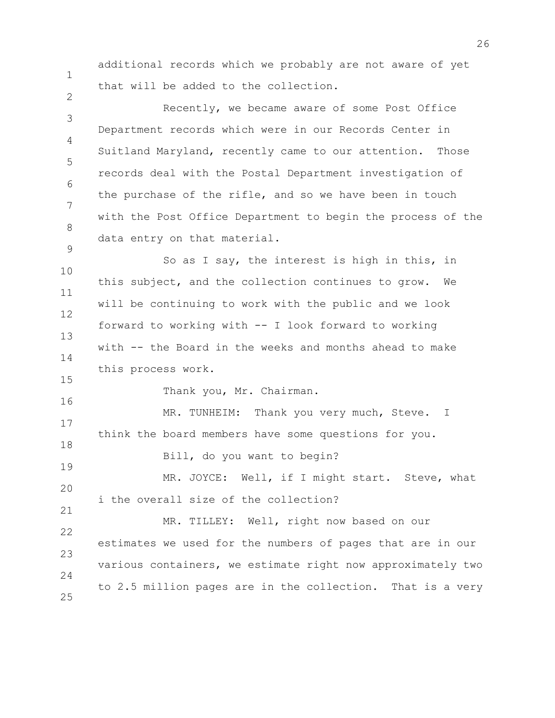additional records which we probably are not aware of yet that will be added to the collection.

1

2

15

16

3 4 5 6 7 8 9 Recently, we became aware of some Post Office Department records which were in our Records Center in Suitland Maryland, recently came to our attention. Those records deal with the Postal Department investigation of the purchase of the rifle, and so we have been in touch with the Post Office Department to begin the process of the data entry on that material.

10 11 12 13 14 So as I say, the interest is high in this, in this subject, and the collection continues to grow. We will be continuing to work with the public and we look forward to working with -- I look forward to working with -- the Board in the weeks and months ahead to make this process work.

Thank you, Mr. Chairman.

17 18 19 MR. TUNHEIM: Thank you very much, Steve. I think the board members have some questions for you. Bill, do you want to begin? MR. JOYCE: Well, if I might start. Steve, what

20 21 i the overall size of the collection?

22 23  $24$ 25 MR. TILLEY: Well, right now based on our estimates we used for the numbers of pages that are in our various containers, we estimate right now approximately two to 2.5 million pages are in the collection. That is a very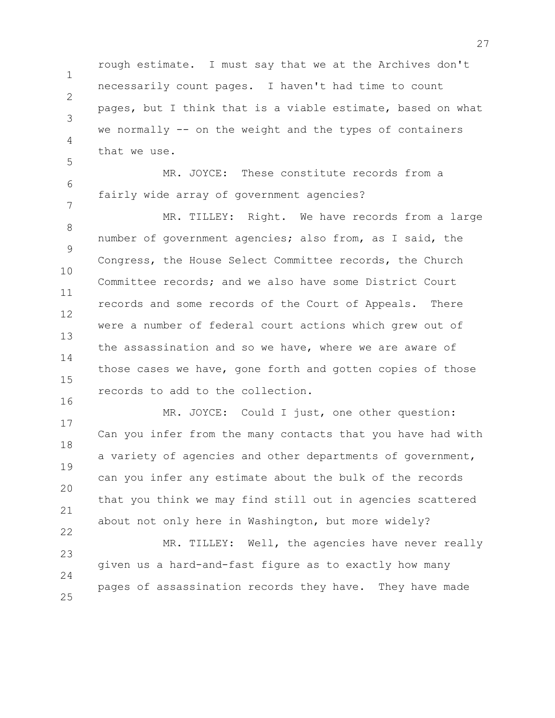1  $\mathcal{P}$ 3 5 rough estimate. I must say that we at the Archives don't necessarily count pages. I haven't had time to count pages, but I think that is a viable estimate, based on what we normally -- on the weight and the types of containers that we use.

6 7 MR. JOYCE: These constitute records from a fairly wide array of government agencies?

4

8 9 10 11 12 13 14 15 16 MR. TILLEY: Right. We have records from a large number of government agencies; also from, as I said, the Congress, the House Select Committee records, the Church Committee records; and we also have some District Court records and some records of the Court of Appeals. There were a number of federal court actions which grew out of the assassination and so we have, where we are aware of those cases we have, gone forth and gotten copies of those records to add to the collection.

17 18 19 20 21 22 MR. JOYCE: Could I just, one other question: Can you infer from the many contacts that you have had with a variety of agencies and other departments of government, can you infer any estimate about the bulk of the records that you think we may find still out in agencies scattered about not only here in Washington, but more widely?

23 24 25 MR. TILLEY: Well, the agencies have never really given us a hard-and-fast figure as to exactly how many pages of assassination records they have. They have made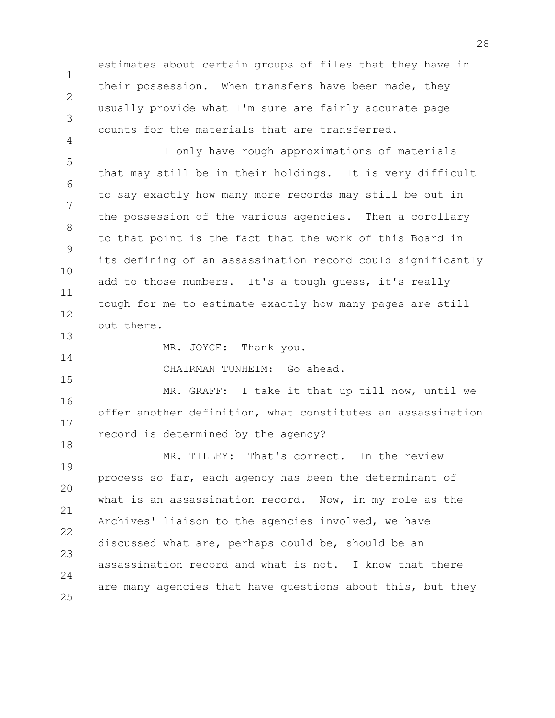estimates about certain groups of files that they have in their possession. When transfers have been made, they usually provide what I'm sure are fairly accurate page counts for the materials that are transferred.

1

 $\mathcal{P}$ 

3

4

14

15

5 6 7 8 9 10 11 12 13 I only have rough approximations of materials that may still be in their holdings. It is very difficult to say exactly how many more records may still be out in the possession of the various agencies. Then a corollary to that point is the fact that the work of this Board in its defining of an assassination record could significantly add to those numbers. It's a tough guess, it's really tough for me to estimate exactly how many pages are still out there.

MR. JOYCE: Thank you.

CHAIRMAN TUNHEIM: Go ahead.

16 17 18 MR. GRAFF: I take it that up till now, until we offer another definition, what constitutes an assassination record is determined by the agency?

19 20 21 22 23  $24$ 25 MR. TILLEY: That's correct. In the review process so far, each agency has been the determinant of what is an assassination record. Now, in my role as the Archives' liaison to the agencies involved, we have discussed what are, perhaps could be, should be an assassination record and what is not. I know that there are many agencies that have questions about this, but they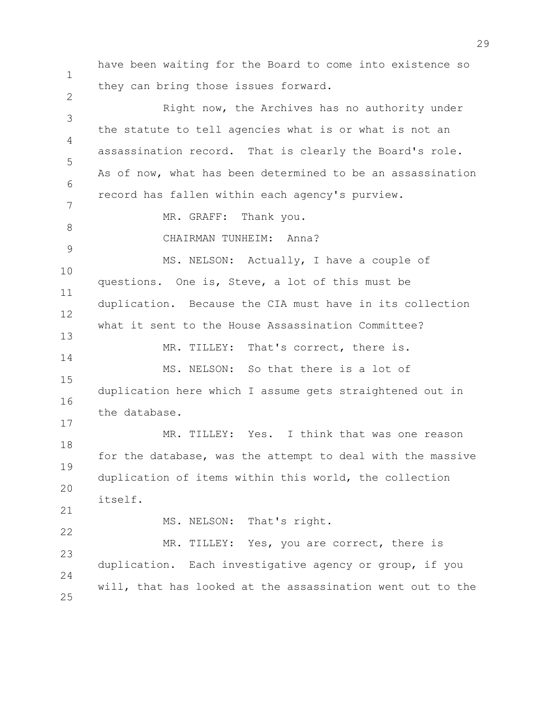1 2 3 4 5 6 7 8 9 10 11 12 13 14 15 16 17 18 19 20 21 22 23  $24$ 25 have been waiting for the Board to come into existence so they can bring those issues forward. Right now, the Archives has no authority under the statute to tell agencies what is or what is not an assassination record. That is clearly the Board's role. As of now, what has been determined to be an assassination record has fallen within each agency's purview. MR. GRAFF: Thank you. CHAIRMAN TUNHEIM: Anna? MS. NELSON: Actually, I have a couple of questions. One is, Steve, a lot of this must be duplication. Because the CIA must have in its collection what it sent to the House Assassination Committee? MR. TILLEY: That's correct, there is. MS. NELSON: So that there is a lot of duplication here which I assume gets straightened out in the database. MR. TILLEY: Yes. I think that was one reason for the database, was the attempt to deal with the massive duplication of items within this world, the collection itself. MS. NELSON: That's right. MR. TILLEY: Yes, you are correct, there is duplication. Each investigative agency or group, if you will, that has looked at the assassination went out to the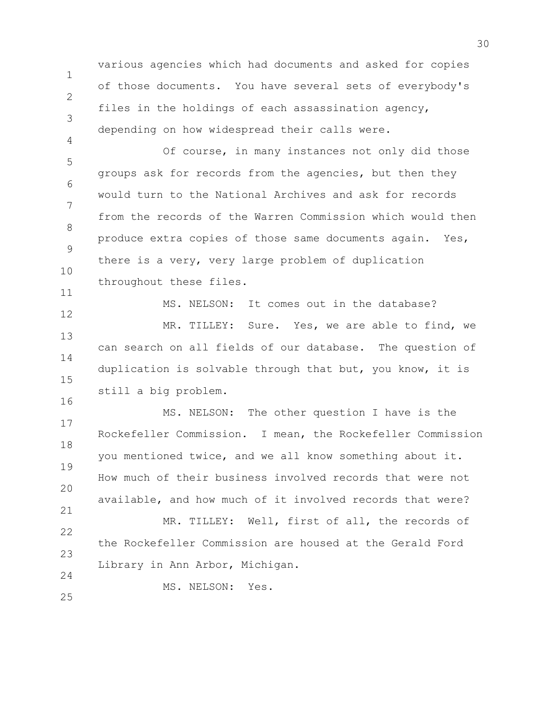1 2 3 4 various agencies which had documents and asked for copies of those documents. You have several sets of everybody's files in the holdings of each assassination agency, depending on how widespread their calls were.

5 6 7 8 9 10 11 Of course, in many instances not only did those groups ask for records from the agencies, but then they would turn to the National Archives and ask for records from the records of the Warren Commission which would then produce extra copies of those same documents again. Yes, there is a very, very large problem of duplication throughout these files.

12 13 14 15 MS. NELSON: It comes out in the database? MR. TILLEY: Sure. Yes, we are able to find, we can search on all fields of our database. The question of duplication is solvable through that but, you know, it is still a big problem.

17 18 19 20 21 MS. NELSON: The other question I have is the Rockefeller Commission. I mean, the Rockefeller Commission you mentioned twice, and we all know something about it. How much of their business involved records that were not available, and how much of it involved records that were? MR. TILLEY: Well, first of all, the records of

22 23 the Rockefeller Commission are housed at the Gerald Ford Library in Ann Arbor, Michigan.

MS. NELSON: Yes.

25

 $24$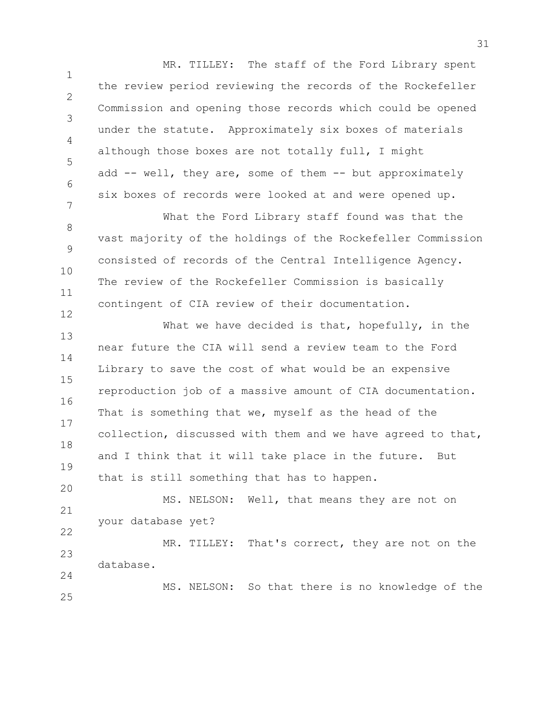1 2 3 4 5 6 7 MR. TILLEY: The staff of the Ford Library spent the review period reviewing the records of the Rockefeller Commission and opening those records which could be opened under the statute. Approximately six boxes of materials although those boxes are not totally full, I might add -- well, they are, some of them -- but approximately six boxes of records were looked at and were opened up.

8 9 10 11 What the Ford Library staff found was that the vast majority of the holdings of the Rockefeller Commission consisted of records of the Central Intelligence Agency. The review of the Rockefeller Commission is basically contingent of CIA review of their documentation.

12

13 14 15 16 17 18 19 20 What we have decided is that, hopefully, in the near future the CIA will send a review team to the Ford Library to save the cost of what would be an expensive reproduction job of a massive amount of CIA documentation. That is something that we, myself as the head of the collection, discussed with them and we have agreed to that, and I think that it will take place in the future. But that is still something that has to happen.

21 22 MS. NELSON: Well, that means they are not on your database yet?

23 24 MR. TILLEY: That's correct, they are not on the database.

25 MS. NELSON: So that there is no knowledge of the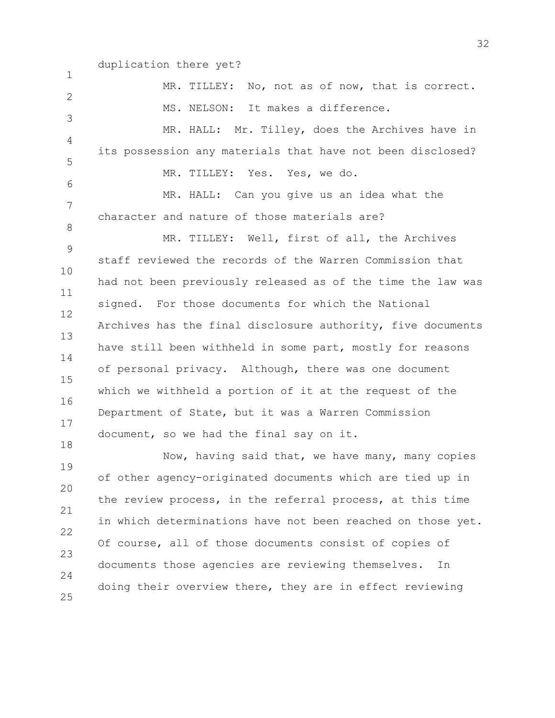## duplication there yet?

| $\mathbf 1$    |                                                             |
|----------------|-------------------------------------------------------------|
|                | MR. TILLEY: No, not as of now, that is correct.             |
| 2              | MS. NELSON: It makes a difference.                          |
| 3              | MR. HALL: Mr. Tilley, does the Archives have in             |
| $\overline{4}$ |                                                             |
| 5              | its possession any materials that have not been disclosed?  |
| 6              | MR. TILLEY: Yes. Yes, we do.                                |
| 7              | MR. HALL: Can you give us an idea what the                  |
| 8              | character and nature of those materials are?                |
|                | MR. TILLEY: Well, first of all, the Archives                |
| 9              | staff reviewed the records of the Warren Commission that    |
| 10             | had not been previously released as of the time the law was |
| 11<br>12       | signed. For those documents for which the National          |
| 13             | Archives has the final disclosure authority, five documents |
|                | have still been withheld in some part, mostly for reasons   |
| 14<br>15       | of personal privacy. Although, there was one document       |
| 16             | which we withheld a portion of it at the request of the     |
| 17             | Department of State, but it was a Warren Commission         |
|                | document, so we had the final say on it.                    |
| 18             | Now, having said that, we have many, many copies            |
| 19             | of other agency-originated documents which are tied up in   |
| 20             | the review process, in the referral process, at this time   |
| 21             | in which determinations have not been reached on those yet. |
| 22             |                                                             |
| 23             | Of course, all of those documents consist of copies of      |
| 24             | documents those agencies are reviewing themselves.<br>In    |
|                | doing their overview there, they are in effect reviewing    |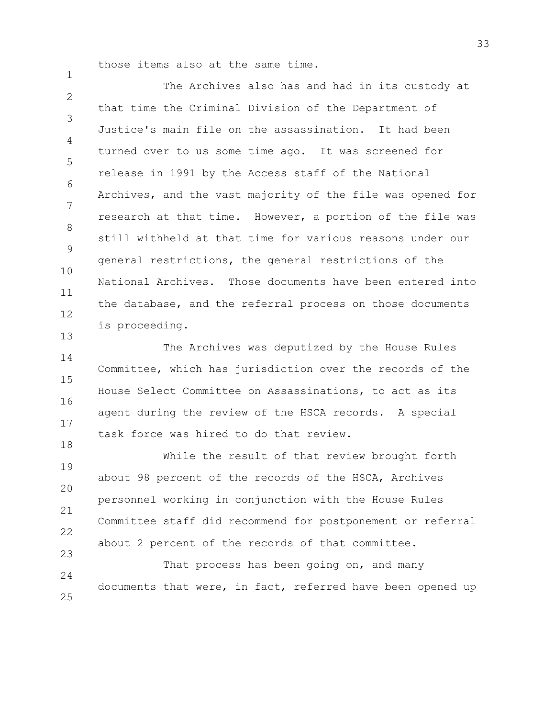those items also at the same time.

1

 $\mathfrak{D}$ 3 4 5 6 7 8 9 10 11 12 13 The Archives also has and had in its custody at that time the Criminal Division of the Department of Justice's main file on the assassination. It had been turned over to us some time ago. It was screened for release in 1991 by the Access staff of the National Archives, and the vast majority of the file was opened for research at that time. However, a portion of the file was still withheld at that time for various reasons under our general restrictions, the general restrictions of the National Archives. Those documents have been entered into the database, and the referral process on those documents is proceeding.

14 15 16 17 18 The Archives was deputized by the House Rules Committee, which has jurisdiction over the records of the House Select Committee on Assassinations, to act as its agent during the review of the HSCA records. A special task force was hired to do that review.

19 20 21 22 23 While the result of that review brought forth about 98 percent of the records of the HSCA, Archives personnel working in conjunction with the House Rules Committee staff did recommend for postponement or referral about 2 percent of the records of that committee.

24 25 That process has been going on, and many documents that were, in fact, referred have been opened up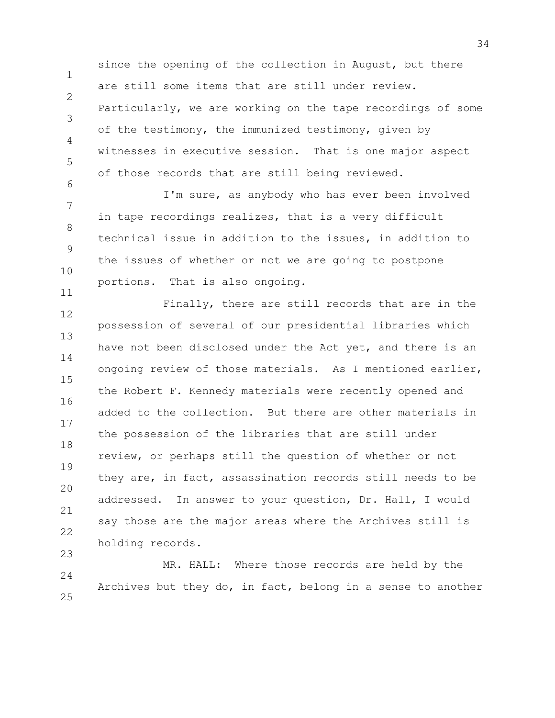1 2 3 4 5 6 since the opening of the collection in August, but there are still some items that are still under review. Particularly, we are working on the tape recordings of some of the testimony, the immunized testimony, given by witnesses in executive session. That is one major aspect of those records that are still being reviewed.

7 8 9 10 I'm sure, as anybody who has ever been involved in tape recordings realizes, that is a very difficult technical issue in addition to the issues, in addition to the issues of whether or not we are going to postpone portions. That is also ongoing.

11

12 13 14 15 16 17 18 19 20 21 22 23 Finally, there are still records that are in the possession of several of our presidential libraries which have not been disclosed under the Act yet, and there is an ongoing review of those materials. As I mentioned earlier, the Robert F. Kennedy materials were recently opened and added to the collection. But there are other materials in the possession of the libraries that are still under review, or perhaps still the question of whether or not they are, in fact, assassination records still needs to be addressed. In answer to your question, Dr. Hall, I would say those are the major areas where the Archives still is holding records.

 $24$ 25 MR. HALL: Where those records are held by the Archives but they do, in fact, belong in a sense to another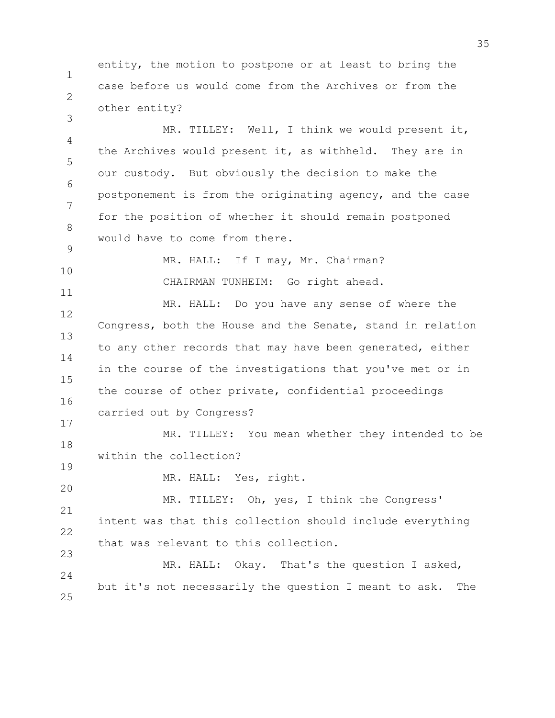1 2 entity, the motion to postpone or at least to bring the case before us would come from the Archives or from the other entity?

4 5 6 7 8 9 MR. TILLEY: Well, I think we would present it, the Archives would present it, as withheld. They are in our custody. But obviously the decision to make the postponement is from the originating agency, and the case for the position of whether it should remain postponed would have to come from there.

MR. HALL: If I may, Mr. Chairman?

CHAIRMAN TUNHEIM: Go right ahead.

12 13 14 15 16 MR. HALL: Do you have any sense of where the Congress, both the House and the Senate, stand in relation to any other records that may have been generated, either in the course of the investigations that you've met or in the course of other private, confidential proceedings carried out by Congress?

18 MR. TILLEY: You mean whether they intended to be within the collection?

19 20

17

3

10

11

MR. HALL: Yes, right.

21 22 23 MR. TILLEY: Oh, yes, I think the Congress' intent was that this collection should include everything that was relevant to this collection.

 $24$ 25 MR. HALL: Okay. That's the question I asked, but it's not necessarily the question I meant to ask. The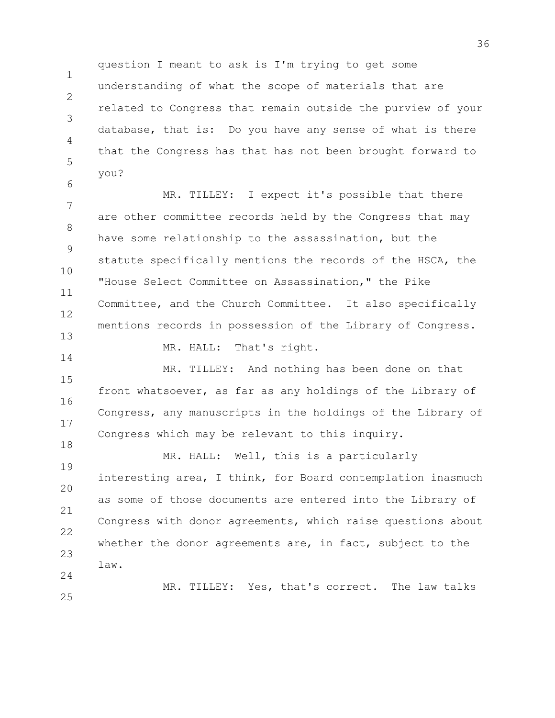1 2 3 4 5 question I meant to ask is I'm trying to get some understanding of what the scope of materials that are related to Congress that remain outside the purview of your database, that is: Do you have any sense of what is there that the Congress has that has not been brought forward to you?

7 8 9 10 11 12 13 MR. TILLEY: I expect it's possible that there are other committee records held by the Congress that may have some relationship to the assassination, but the statute specifically mentions the records of the HSCA, the "House Select Committee on Assassination," the Pike Committee, and the Church Committee. It also specifically mentions records in possession of the Library of Congress. MR. HALL: That's right.

6

14

15 16 17 18 MR. TILLEY: And nothing has been done on that front whatsoever, as far as any holdings of the Library of Congress, any manuscripts in the holdings of the Library of Congress which may be relevant to this inquiry.

19 20 21 22 23  $24$ MR. HALL: Well, this is a particularly interesting area, I think, for Board contemplation inasmuch as some of those documents are entered into the Library of Congress with donor agreements, which raise questions about whether the donor agreements are, in fact, subject to the law.

25 MR. TILLEY: Yes, that's correct. The law talks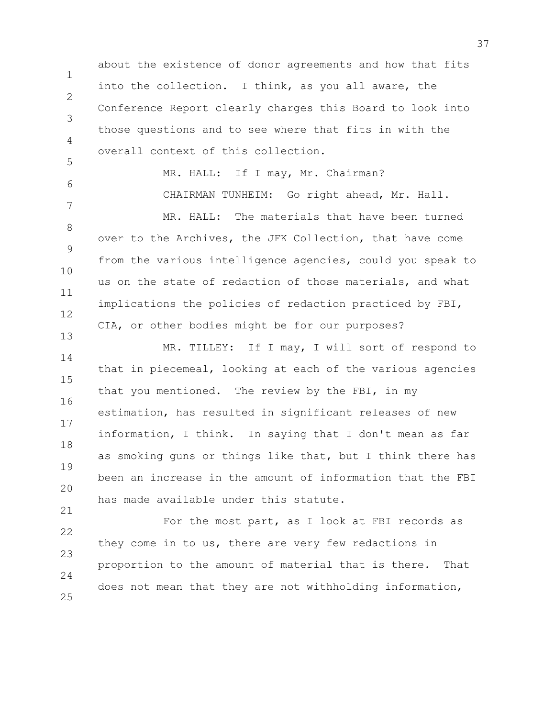1 2 3 4 5 6 7 8 9 10 11 12 13 14 15 16 17 18 19 20 21 22 23 24 about the existence of donor agreements and how that fits into the collection. I think, as you all aware, the Conference Report clearly charges this Board to look into those questions and to see where that fits in with the overall context of this collection. MR. HALL: If I may, Mr. Chairman? CHAIRMAN TUNHEIM: Go right ahead, Mr. Hall. MR. HALL: The materials that have been turned over to the Archives, the JFK Collection, that have come from the various intelligence agencies, could you speak to us on the state of redaction of those materials, and what implications the policies of redaction practiced by FBI, CIA, or other bodies might be for our purposes? MR. TILLEY: If I may, I will sort of respond to that in piecemeal, looking at each of the various agencies that you mentioned. The review by the FBI, in my estimation, has resulted in significant releases of new information, I think. In saying that I don't mean as far as smoking guns or things like that, but I think there has been an increase in the amount of information that the FBI has made available under this statute. For the most part, as I look at FBI records as they come in to us, there are very few redactions in proportion to the amount of material that is there. That

does not mean that they are not withholding information,

25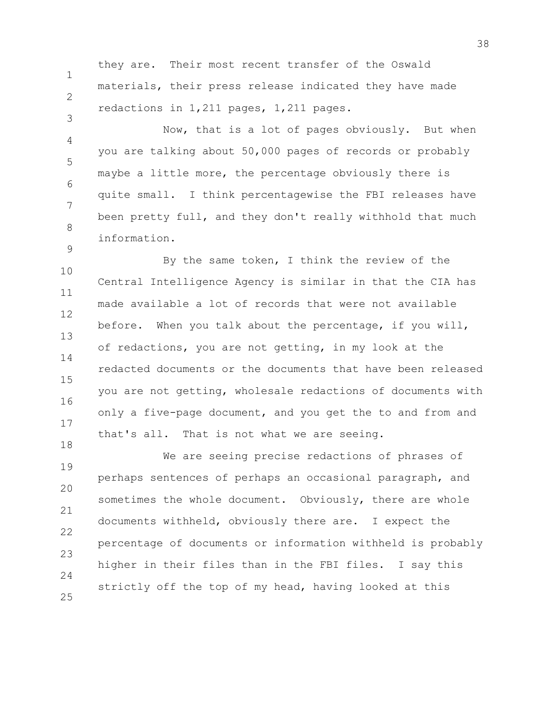1 2 they are. Their most recent transfer of the Oswald materials, their press release indicated they have made redactions in 1,211 pages, 1,211 pages.

3

9

4 5 6 7 8 Now, that is a lot of pages obviously. But when you are talking about 50,000 pages of records or probably maybe a little more, the percentage obviously there is quite small. I think percentagewise the FBI releases have been pretty full, and they don't really withhold that much information.

10 11 12 13 14 15 16 17 18 By the same token, I think the review of the Central Intelligence Agency is similar in that the CIA has made available a lot of records that were not available before. When you talk about the percentage, if you will, of redactions, you are not getting, in my look at the redacted documents or the documents that have been released you are not getting, wholesale redactions of documents with only a five-page document, and you get the to and from and that's all. That is not what we are seeing.

19 20 21 22 23  $24$ 25 We are seeing precise redactions of phrases of perhaps sentences of perhaps an occasional paragraph, and sometimes the whole document. Obviously, there are whole documents withheld, obviously there are. I expect the percentage of documents or information withheld is probably higher in their files than in the FBI files. I say this strictly off the top of my head, having looked at this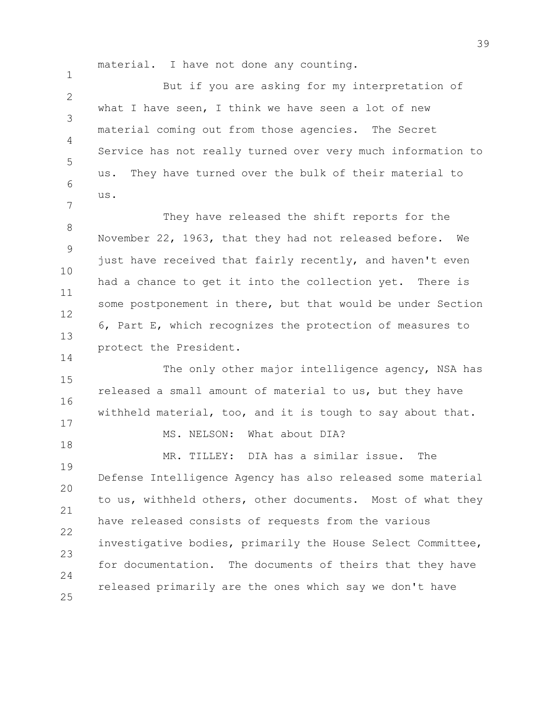1

14

18

material. I have not done any counting.

 $\mathfrak{D}$ 3 4 5 6 7 But if you are asking for my interpretation of what I have seen, I think we have seen a lot of new material coming out from those agencies. The Secret Service has not really turned over very much information to us. They have turned over the bulk of their material to us.

8 9 10 11 12 13 They have released the shift reports for the November 22, 1963, that they had not released before. We just have received that fairly recently, and haven't even had a chance to get it into the collection yet. There is some postponement in there, but that would be under Section 6, Part E, which recognizes the protection of measures to protect the President.

15 16 17 The only other major intelligence agency, NSA has released a small amount of material to us, but they have withheld material, too, and it is tough to say about that.

MS. NELSON: What about DIA?

19 20 21 22 23  $24$ 25 MR. TILLEY: DIA has a similar issue. The Defense Intelligence Agency has also released some material to us, withheld others, other documents. Most of what they have released consists of requests from the various investigative bodies, primarily the House Select Committee, for documentation. The documents of theirs that they have released primarily are the ones which say we don't have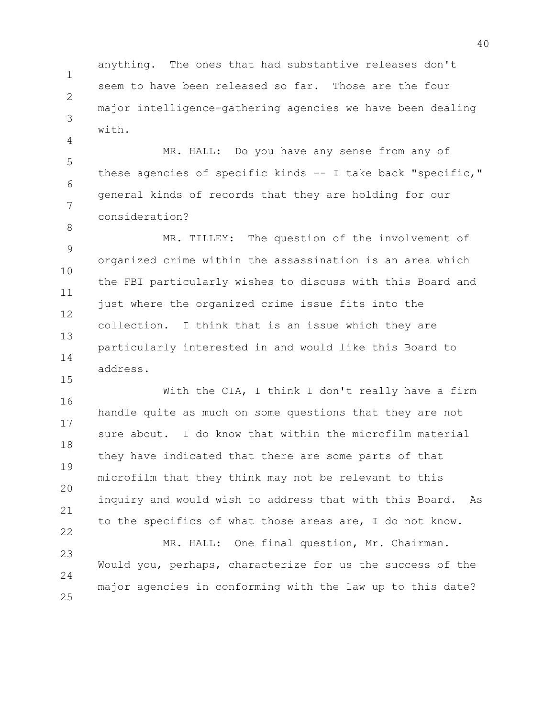1  $\mathcal{P}$ 3 anything. The ones that had substantive releases don't seem to have been released so far. Those are the four major intelligence-gathering agencies we have been dealing with.

4

8

15

5 6 7 MR. HALL: Do you have any sense from any of these agencies of specific kinds -- I take back "specific," general kinds of records that they are holding for our consideration?

9 10 11 12 13 14 MR. TILLEY: The question of the involvement of organized crime within the assassination is an area which the FBI particularly wishes to discuss with this Board and just where the organized crime issue fits into the collection. I think that is an issue which they are particularly interested in and would like this Board to address.

16 17 18 19 20 21 22 With the CIA, I think I don't really have a firm handle quite as much on some questions that they are not sure about. I do know that within the microfilm material they have indicated that there are some parts of that microfilm that they think may not be relevant to this inquiry and would wish to address that with this Board. As to the specifics of what those areas are, I do not know.

23  $24$ 25 MR. HALL: One final question, Mr. Chairman. Would you, perhaps, characterize for us the success of the major agencies in conforming with the law up to this date?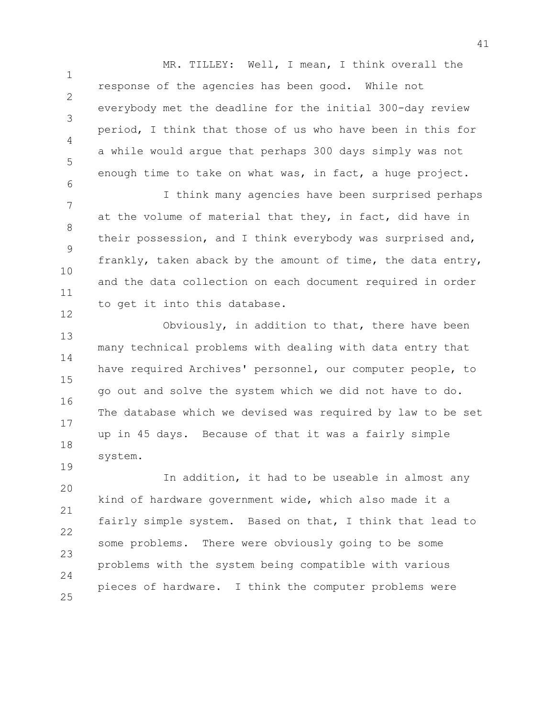1 2 3 4 5 6 MR. TILLEY: Well, I mean, I think overall the response of the agencies has been good. While not everybody met the deadline for the initial 300-day review period, I think that those of us who have been in this for a while would argue that perhaps 300 days simply was not enough time to take on what was, in fact, a huge project.

7 8 9 10 11 12 I think many agencies have been surprised perhaps at the volume of material that they, in fact, did have in their possession, and I think everybody was surprised and, frankly, taken aback by the amount of time, the data entry, and the data collection on each document required in order to get it into this database.

13 14 15 16 17 18 Obviously, in addition to that, there have been many technical problems with dealing with data entry that have required Archives' personnel, our computer people, to go out and solve the system which we did not have to do. The database which we devised was required by law to be set up in 45 days. Because of that it was a fairly simple system.

20 21 22 23 24 25 In addition, it had to be useable in almost any kind of hardware government wide, which also made it a fairly simple system. Based on that, I think that lead to some problems. There were obviously going to be some problems with the system being compatible with various pieces of hardware. I think the computer problems were

19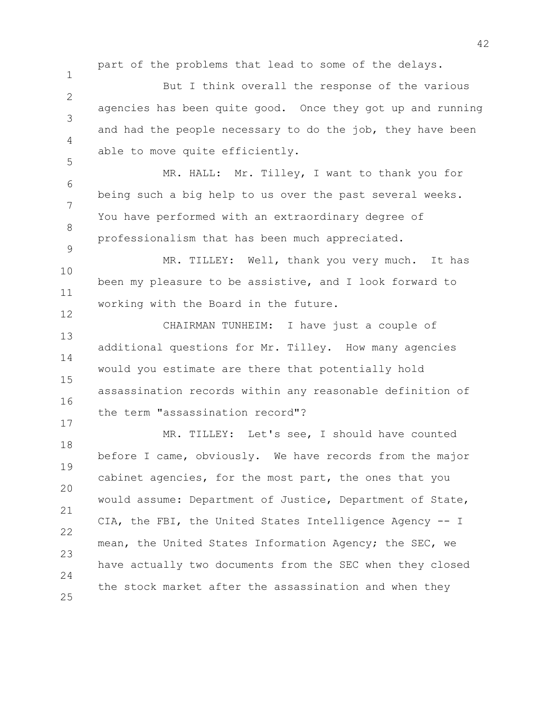part of the problems that lead to some of the delays.

1

5

17

 $\mathfrak{D}$ 3 4 But I think overall the response of the various agencies has been quite good. Once they got up and running and had the people necessary to do the job, they have been able to move quite efficiently.

6 7 8 9 MR. HALL: Mr. Tilley, I want to thank you for being such a big help to us over the past several weeks. You have performed with an extraordinary degree of professionalism that has been much appreciated.

10 11 12 MR. TILLEY: Well, thank you very much. It has been my pleasure to be assistive, and I look forward to working with the Board in the future.

13 14 15 16 CHAIRMAN TUNHEIM: I have just a couple of additional questions for Mr. Tilley. How many agencies would you estimate are there that potentially hold assassination records within any reasonable definition of the term "assassination record"?

18 19 20 21 22 23 24 25 MR. TILLEY: Let's see, I should have counted before I came, obviously. We have records from the major cabinet agencies, for the most part, the ones that you would assume: Department of Justice, Department of State, CIA, the FBI, the United States Intelligence Agency -- I mean, the United States Information Agency; the SEC, we have actually two documents from the SEC when they closed the stock market after the assassination and when they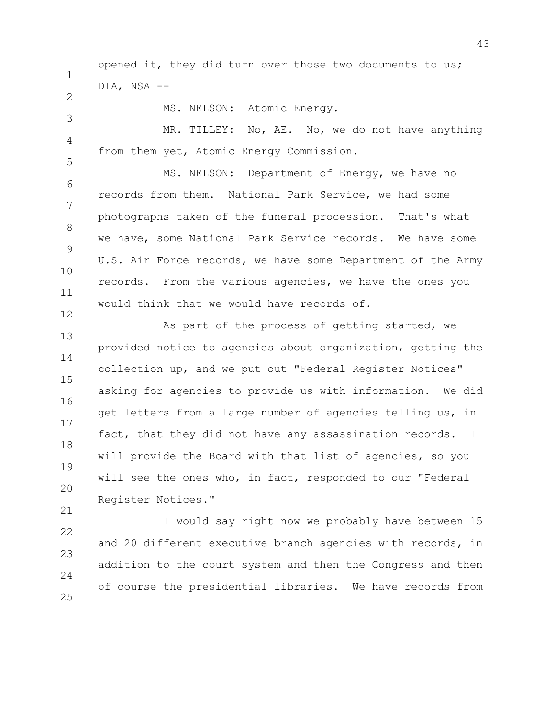1 2 3 4 5 6 7 8 9 10 11 12 13 14 15 16 17 18 19 opened it, they did turn over those two documents to us; DIA, NSA -- MS. NELSON: Atomic Energy. MR. TILLEY: No, AE. No, we do not have anything from them yet, Atomic Energy Commission. MS. NELSON: Department of Energy, we have no records from them. National Park Service, we had some photographs taken of the funeral procession. That's what we have, some National Park Service records. We have some U.S. Air Force records, we have some Department of the Army records. From the various agencies, we have the ones you would think that we would have records of. As part of the process of getting started, we provided notice to agencies about organization, getting the collection up, and we put out "Federal Register Notices" asking for agencies to provide us with information. We did get letters from a large number of agencies telling us, in fact, that they did not have any assassination records. I will provide the Board with that list of agencies, so you will see the ones who, in fact, responded to our "Federal

Register Notices."

20

21

22 23  $24$ 25 I would say right now we probably have between 15 and 20 different executive branch agencies with records, in addition to the court system and then the Congress and then of course the presidential libraries. We have records from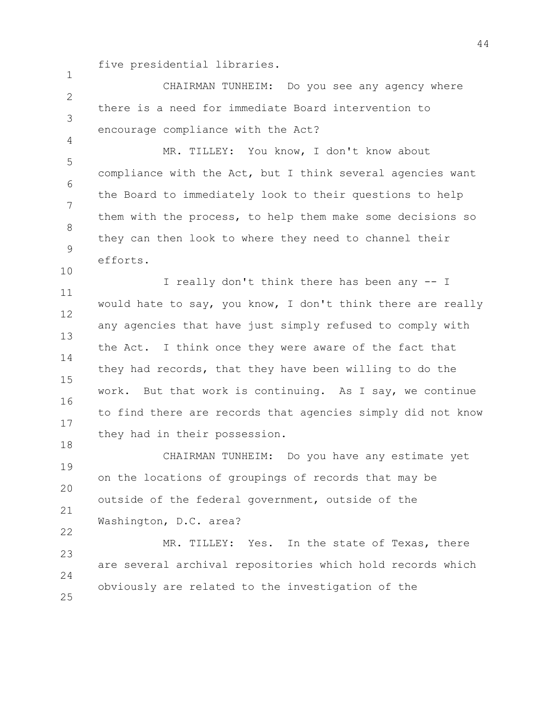five presidential libraries.

1

4

10

 $\mathfrak{D}$ 3 CHAIRMAN TUNHEIM: Do you see any agency where there is a need for immediate Board intervention to encourage compliance with the Act?

5 6 7 8 9 MR. TILLEY: You know, I don't know about compliance with the Act, but I think several agencies want the Board to immediately look to their questions to help them with the process, to help them make some decisions so they can then look to where they need to channel their efforts.

11 12 13 14 15 16 17 18 I really don't think there has been any -- I would hate to say, you know, I don't think there are really any agencies that have just simply refused to comply with the Act. I think once they were aware of the fact that they had records, that they have been willing to do the work. But that work is continuing. As I say, we continue to find there are records that agencies simply did not know they had in their possession.

19 20 21 22 CHAIRMAN TUNHEIM: Do you have any estimate yet on the locations of groupings of records that may be outside of the federal government, outside of the Washington, D.C. area?

23  $24$ 25 MR. TILLEY: Yes. In the state of Texas, there are several archival repositories which hold records which obviously are related to the investigation of the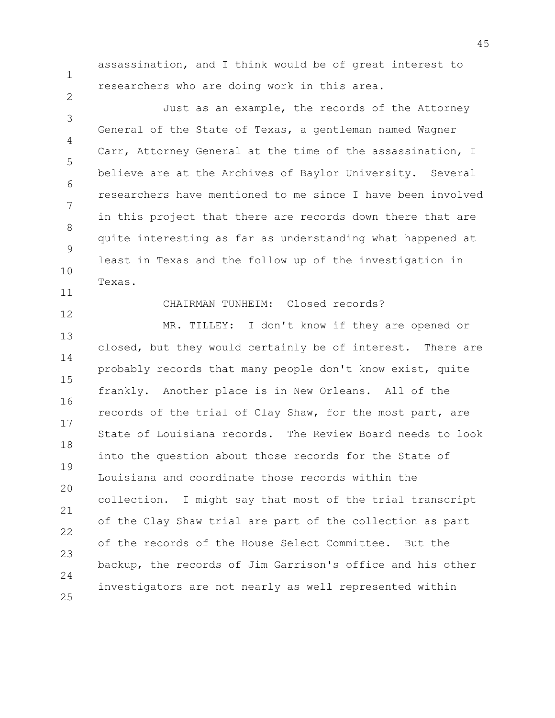1

2

assassination, and I think would be of great interest to researchers who are doing work in this area.

3 4 5 6 7 8 9 10 Just as an example, the records of the Attorney General of the State of Texas, a gentleman named Wagner Carr, Attorney General at the time of the assassination, I believe are at the Archives of Baylor University. Several researchers have mentioned to me since I have been involved in this project that there are records down there that are quite interesting as far as understanding what happened at least in Texas and the follow up of the investigation in Texas.

11 12

## CHAIRMAN TUNHEIM: Closed records?

13 14 15 16 17 18 19 20 21 22 23  $24$ 25 MR. TILLEY: I don't know if they are opened or closed, but they would certainly be of interest. There are probably records that many people don't know exist, quite frankly. Another place is in New Orleans. All of the records of the trial of Clay Shaw, for the most part, are State of Louisiana records. The Review Board needs to look into the question about those records for the State of Louisiana and coordinate those records within the collection. I might say that most of the trial transcript of the Clay Shaw trial are part of the collection as part of the records of the House Select Committee. But the backup, the records of Jim Garrison's office and his other investigators are not nearly as well represented within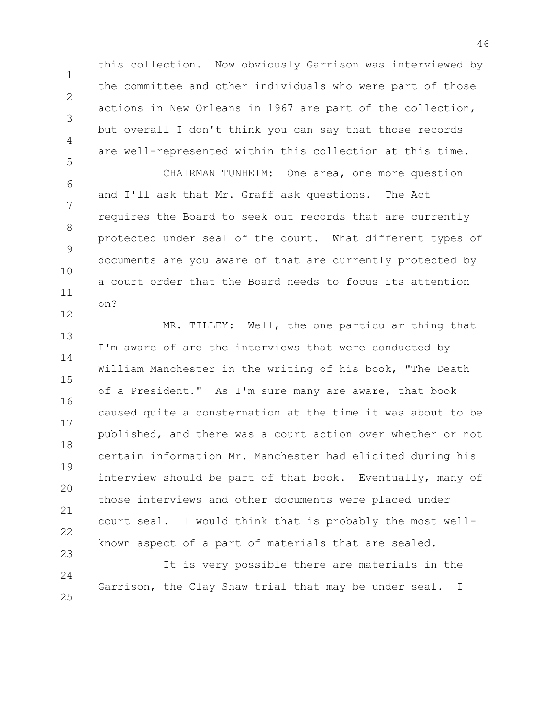this collection. Now obviously Garrison was interviewed by the committee and other individuals who were part of those actions in New Orleans in 1967 are part of the collection, but overall I don't think you can say that those records are well-represented within this collection at this time.

1

 $\mathcal{P}$ 

3

4

5

12

6 7 8 9 10 11 CHAIRMAN TUNHEIM: One area, one more question and I'll ask that Mr. Graff ask questions. The Act requires the Board to seek out records that are currently protected under seal of the court. What different types of documents are you aware of that are currently protected by a court order that the Board needs to focus its attention on?

13 14 15 16 17 18 19 20 21 22 23 MR. TILLEY: Well, the one particular thing that I'm aware of are the interviews that were conducted by William Manchester in the writing of his book, "The Death of a President." As I'm sure many are aware, that book caused quite a consternation at the time it was about to be published, and there was a court action over whether or not certain information Mr. Manchester had elicited during his interview should be part of that book. Eventually, many of those interviews and other documents were placed under court seal. I would think that is probably the most wellknown aspect of a part of materials that are sealed.

24 25 It is very possible there are materials in the Garrison, the Clay Shaw trial that may be under seal. I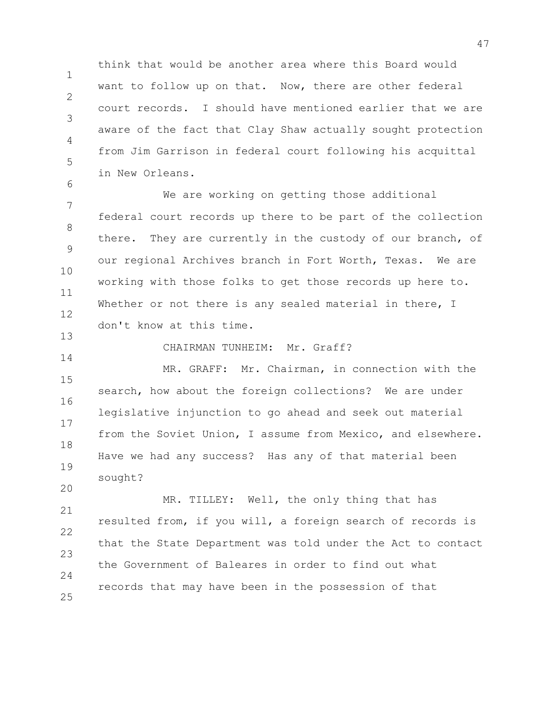1  $\mathcal{P}$ 3 4 5 think that would be another area where this Board would want to follow up on that. Now, there are other federal court records. I should have mentioned earlier that we are aware of the fact that Clay Shaw actually sought protection from Jim Garrison in federal court following his acquittal in New Orleans.

7 8 9 10 11 12 13 We are working on getting those additional federal court records up there to be part of the collection there. They are currently in the custody of our branch, of our regional Archives branch in Fort Worth, Texas. We are working with those folks to get those records up here to. Whether or not there is any sealed material in there, I don't know at this time.

6

14

20

CHAIRMAN TUNHEIM: Mr. Graff?

15 16 17 18 19 MR. GRAFF: Mr. Chairman, in connection with the search, how about the foreign collections? We are under legislative injunction to go ahead and seek out material from the Soviet Union, I assume from Mexico, and elsewhere. Have we had any success? Has any of that material been sought?

21 22 23 24 25 MR. TILLEY: Well, the only thing that has resulted from, if you will, a foreign search of records is that the State Department was told under the Act to contact the Government of Baleares in order to find out what records that may have been in the possession of that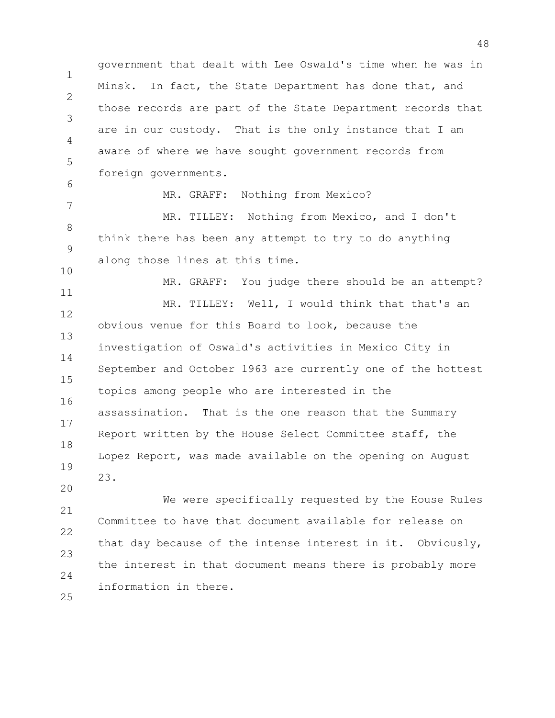1 2 3 4 5 6 7 8 9 10 11 12 13 14 15 16 17 18 19 20 21 government that dealt with Lee Oswald's time when he was in Minsk. In fact, the State Department has done that, and those records are part of the State Department records that are in our custody. That is the only instance that I am aware of where we have sought government records from foreign governments. MR. GRAFF: Nothing from Mexico? MR. TILLEY: Nothing from Mexico, and I don't think there has been any attempt to try to do anything along those lines at this time. MR. GRAFF: You judge there should be an attempt? MR. TILLEY: Well, I would think that that's an obvious venue for this Board to look, because the investigation of Oswald's activities in Mexico City in September and October 1963 are currently one of the hottest topics among people who are interested in the assassination. That is the one reason that the Summary Report written by the House Select Committee staff, the Lopez Report, was made available on the opening on August 23. We were specifically requested by the House Rules

22 23  $24$ 25 Committee to have that document available for release on that day because of the intense interest in it. Obviously, the interest in that document means there is probably more information in there.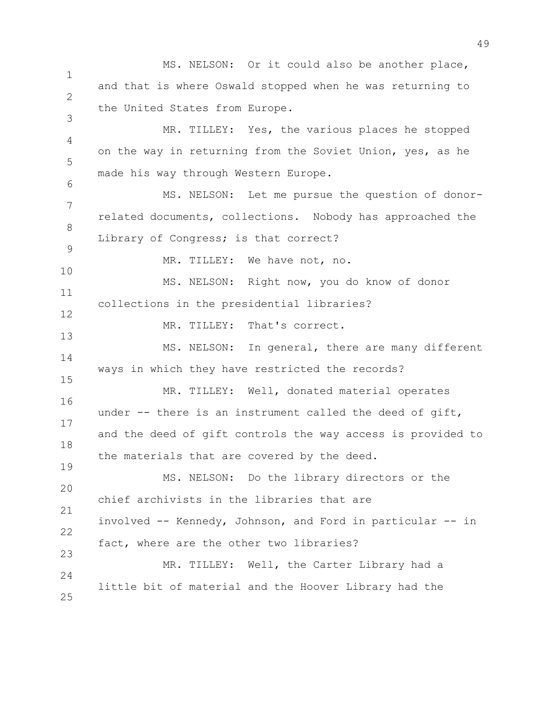1 2 3 4 5 6 7 8 9 10 11 12 13 14 15 16 17 18 19 20 21 22 23 24 25 MS. NELSON: Or it could also be another place, and that is where Oswald stopped when he was returning to the United States from Europe. MR. TILLEY: Yes, the various places he stopped on the way in returning from the Soviet Union, yes, as he made his way through Western Europe. MS. NELSON: Let me pursue the question of donorrelated documents, collections. Nobody has approached the Library of Congress; is that correct? MR. TILLEY: We have not, no. MS. NELSON: Right now, you do know of donor collections in the presidential libraries? MR. TILLEY: That's correct. MS. NELSON: In general, there are many different ways in which they have restricted the records? MR. TILLEY: Well, donated material operates under -- there is an instrument called the deed of gift, and the deed of gift controls the way access is provided to the materials that are covered by the deed. MS. NELSON: Do the library directors or the chief archivists in the libraries that are involved -- Kennedy, Johnson, and Ford in particular -- in fact, where are the other two libraries? MR. TILLEY: Well, the Carter Library had a little bit of material and the Hoover Library had the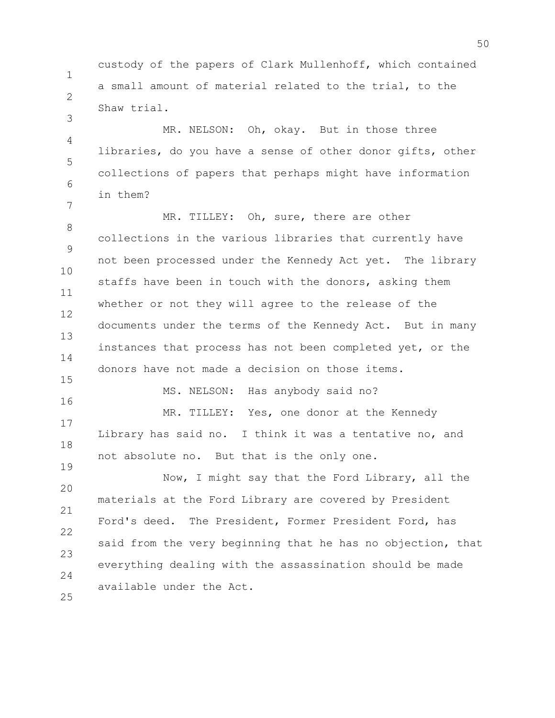1 2 custody of the papers of Clark Mullenhoff, which contained a small amount of material related to the trial, to the Shaw trial.

3

4 5 6 7 MR. NELSON: Oh, okay. But in those three libraries, do you have a sense of other donor gifts, other collections of papers that perhaps might have information in them?

8 9 10 11 12 13 14 15 MR. TILLEY: Oh, sure, there are other collections in the various libraries that currently have not been processed under the Kennedy Act yet. The library staffs have been in touch with the donors, asking them whether or not they will agree to the release of the documents under the terms of the Kennedy Act. But in many instances that process has not been completed yet, or the donors have not made a decision on those items.

16 17 18 19 MR. TILLEY: Yes, one donor at the Kennedy Library has said no. I think it was a tentative no, and not absolute no. But that is the only one.

MS. NELSON: Has anybody said no?

20 21 22 23  $24$ 25 Now, I might say that the Ford Library, all the materials at the Ford Library are covered by President Ford's deed. The President, Former President Ford, has said from the very beginning that he has no objection, that everything dealing with the assassination should be made available under the Act.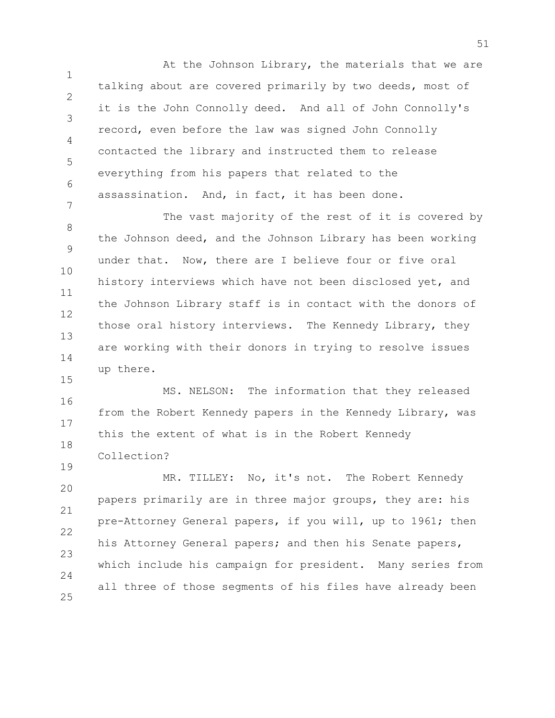1 2 3 4 5 6 7 At the Johnson Library, the materials that we are talking about are covered primarily by two deeds, most of it is the John Connolly deed. And all of John Connolly's record, even before the law was signed John Connolly contacted the library and instructed them to release everything from his papers that related to the assassination. And, in fact, it has been done.

8 9 10 11 12 13 14 15 The vast majority of the rest of it is covered by the Johnson deed, and the Johnson Library has been working under that. Now, there are I believe four or five oral history interviews which have not been disclosed yet, and the Johnson Library staff is in contact with the donors of those oral history interviews. The Kennedy Library, they are working with their donors in trying to resolve issues up there.

16 17 18 MS. NELSON: The information that they released from the Robert Kennedy papers in the Kennedy Library, was this the extent of what is in the Robert Kennedy Collection?

19

20 21 22 23  $24$ 25 MR. TILLEY: No, it's not. The Robert Kennedy papers primarily are in three major groups, they are: his pre-Attorney General papers, if you will, up to 1961; then his Attorney General papers; and then his Senate papers, which include his campaign for president. Many series from all three of those segments of his files have already been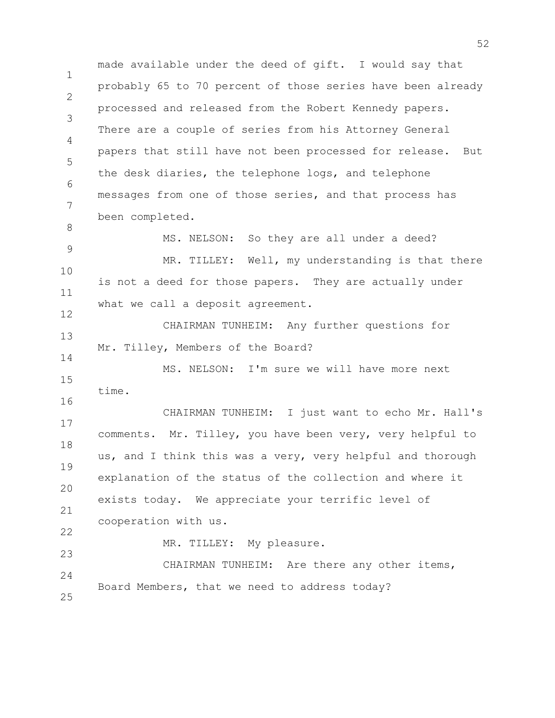1  $\mathfrak{D}$ 3 4 5 6 7 8 9 10 11 12 13 14 15 16 17 18 19 20 21 22 23  $24$ 25 made available under the deed of gift. I would say that probably 65 to 70 percent of those series have been already processed and released from the Robert Kennedy papers. There are a couple of series from his Attorney General papers that still have not been processed for release. But the desk diaries, the telephone logs, and telephone messages from one of those series, and that process has been completed. MS. NELSON: So they are all under a deed? MR. TILLEY: Well, my understanding is that there is not a deed for those papers. They are actually under what we call a deposit agreement. CHAIRMAN TUNHEIM: Any further questions for Mr. Tilley, Members of the Board? MS. NELSON: I'm sure we will have more next time. CHAIRMAN TUNHEIM: I just want to echo Mr. Hall's comments. Mr. Tilley, you have been very, very helpful to us, and I think this was a very, very helpful and thorough explanation of the status of the collection and where it exists today. We appreciate your terrific level of cooperation with us. MR. TILLEY: My pleasure. CHAIRMAN TUNHEIM: Are there any other items, Board Members, that we need to address today?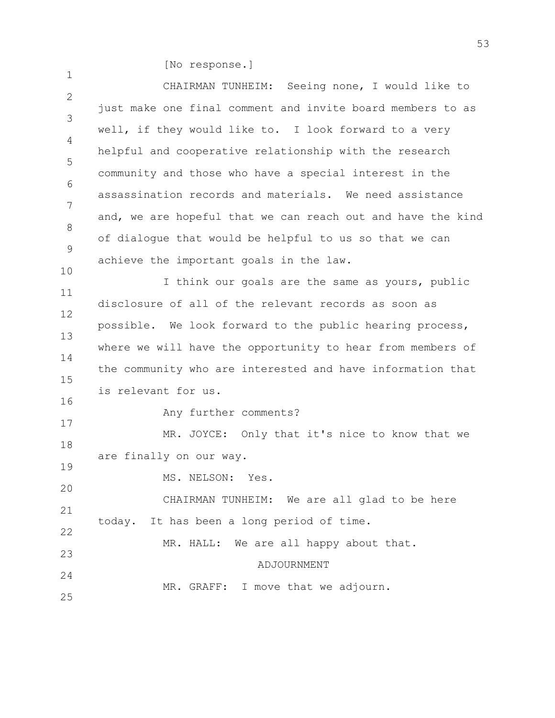[No response.]

| $\mathbf{L}$ . $\mathbf{L}$ $\mathbf{L}$ $\mathbf{L}$ $\mathbf{L}$ $\mathbf{L}$ $\mathbf{L}$ $\mathbf{L}$ $\mathbf{L}$ $\mathbf{L}$ $\mathbf{L}$ $\mathbf{L}$ $\mathbf{L}$ $\mathbf{L}$ $\mathbf{L}$ $\mathbf{L}$ $\mathbf{L}$ $\mathbf{L}$ $\mathbf{L}$ $\mathbf{L}$ $\mathbf{L}$ $\mathbf{L}$ $\mathbf{L}$ $\mathbf{L}$ $\math$ |
|-----------------------------------------------------------------------------------------------------------------------------------------------------------------------------------------------------------------------------------------------------------------------------------------------------------------------------------|
| CHAIRMAN TUNHEIM: Seeing none, I would like to                                                                                                                                                                                                                                                                                    |
| just make one final comment and invite board members to as                                                                                                                                                                                                                                                                        |
| well, if they would like to. I look forward to a very                                                                                                                                                                                                                                                                             |
| helpful and cooperative relationship with the research                                                                                                                                                                                                                                                                            |
| community and those who have a special interest in the                                                                                                                                                                                                                                                                            |
| assassination records and materials. We need assistance                                                                                                                                                                                                                                                                           |
| and, we are hopeful that we can reach out and have the kind                                                                                                                                                                                                                                                                       |
| of dialogue that would be helpful to us so that we can                                                                                                                                                                                                                                                                            |
| achieve the important goals in the law.                                                                                                                                                                                                                                                                                           |
| I think our goals are the same as yours, public                                                                                                                                                                                                                                                                                   |
| disclosure of all of the relevant records as soon as                                                                                                                                                                                                                                                                              |
| possible. We look forward to the public hearing process,                                                                                                                                                                                                                                                                          |
| where we will have the opportunity to hear from members of                                                                                                                                                                                                                                                                        |
| the community who are interested and have information that                                                                                                                                                                                                                                                                        |
| is relevant for us.                                                                                                                                                                                                                                                                                                               |
| Any further comments?                                                                                                                                                                                                                                                                                                             |
| MR. JOYCE: Only that it's nice to know that we                                                                                                                                                                                                                                                                                    |
| are finally on our way.                                                                                                                                                                                                                                                                                                           |
| MS. NELSON: Yes.                                                                                                                                                                                                                                                                                                                  |
| CHAIRMAN TUNHEIM: We are all glad to be here                                                                                                                                                                                                                                                                                      |
| It has been a long period of time.<br>today.                                                                                                                                                                                                                                                                                      |
|                                                                                                                                                                                                                                                                                                                                   |
| MR. HALL: We are all happy about that.                                                                                                                                                                                                                                                                                            |
| ADJOURNMENT                                                                                                                                                                                                                                                                                                                       |
| MR. GRAFF: I move that we adjourn.                                                                                                                                                                                                                                                                                                |
|                                                                                                                                                                                                                                                                                                                                   |